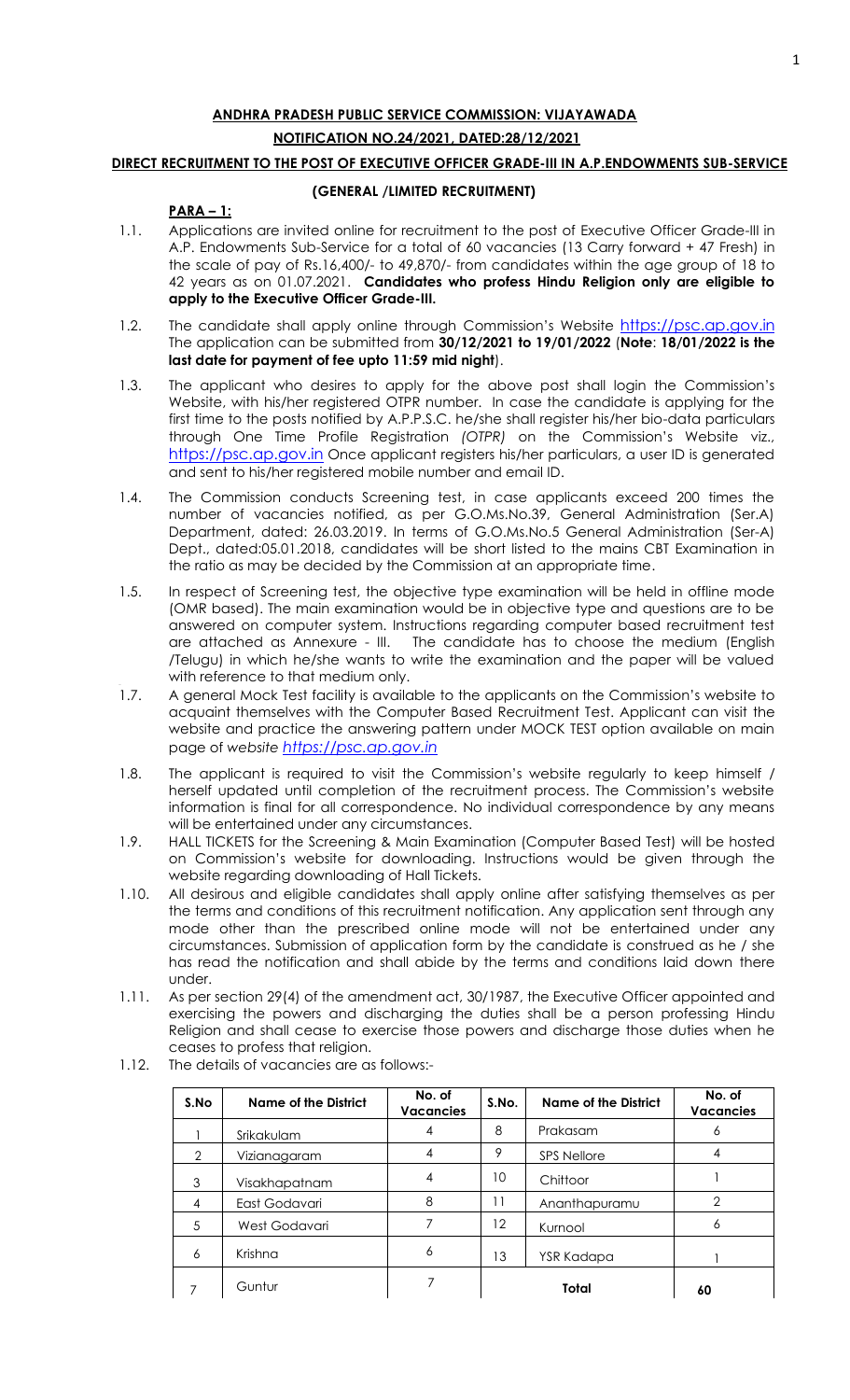# **ANDHRA PRADESH PUBLIC SERVICE COMMISSION: VIJAYAWADA NOTIFICATION NO.24/2021, DATED:28/12/2021**

# **DIRECT RECRUITMENT TO THE POST OF EXECUTIVE OFFICER GRADE-III IN A.P.ENDOWMENTS SUB-SERVICE**

# **(GENERAL /LIMITED RECRUITMENT)**

# **PARA – 1:**

- 1.1. Applications are invited online for recruitment to the post of Executive Officer Grade-III in A.P. Endowments Sub-Service for a total of 60 vacancies (13 Carry forward + 47 Fresh) in the scale of pay of Rs.16,400/- to 49,870/- from candidates within the age group of 18 to 42 years as on 01.07.2021. **Candidates who profess Hindu Religion only are eligible to apply to the Executive Officer Grade-III.**
- 1.2. The candidate shall apply online through Commission's Website [https://psc.ap.gov.in](https://psc.ap.gov.in/) The application can be submitted from **30/12/2021 to 19/01/2022** (**Note**: **18/01/2022 is the last date for payment of fee upto 11:59 mid night**).
- 1.3. The applicant who desires to apply for the above post shall login the Commission's Website, with his/her registered OTPR number. In case the candidate is applying for the first time to the posts notified by A.P.P.S.C. he/she shall register his/her bio-data particulars through One Time Profile Registration *(OTPR)* on the Commission's Website viz., [https://psc.ap.gov.in](https://psc.ap.gov.in/) Once applicant registers his/her particulars, a user ID is generated and sent to his/her registered mobile number and email ID.
- 1.4. The Commission conducts Screening test, in case applicants exceed 200 times the number of vacancies notified, as per G.O.Ms.No.39, General Administration (Ser.A) Department, dated: 26.03.2019. In terms of G.O.Ms.No.5 General Administration (Ser-A) Dept., dated:05.01.2018, candidates will be short listed to the mains CBT Examination in the ratio as may be decided by the Commission at an appropriate time.
- 1.5. In respect of Screening test, the objective type examination will be held in offline mode (OMR based). The main examination would be in objective type and questions are to be answered on computer system. Instructions regarding computer based recruitment test are attached as Annexure - III. The candidate has to choose the medium (English /Telugu) in which he/she wants to write the examination and the paper will be valued with reference to that medium only.
- 1.7. A general Mock Test facility is available to the applicants on the Commission's website to acquaint themselves with the Computer Based Recruitment Test. Applicant can visit the website and practice the answering pattern under MOCK TEST option available on main page of *website [https://psc.ap.gov.in](http://www.psc.ap.gov.in/)*
- 1.8. The applicant is required to visit the Commission's website regularly to keep himself / herself updated until completion of the recruitment process. The Commission's website information is final for all correspondence. No individual correspondence by any means will be entertained under any circumstances.
- 1.9. HALL TICKETS for the Screening & Main Examination (Computer Based Test) will be hosted on Commission's website for downloading. Instructions would be given through the website regarding downloading of Hall Tickets.
- 1.10. All desirous and eligible candidates shall apply online after satisfying themselves as per the terms and conditions of this recruitment notification. Any application sent through any mode other than the prescribed online mode will not be entertained under any circumstances. Submission of application form by the candidate is construed as he / she has read the notification and shall abide by the terms and conditions laid down there under.
- 1.11. As per section 29(4) of the amendment act, 30/1987, the Executive Officer appointed and exercising the powers and discharging the duties shall be a person professing Hindu Religion and shall cease to exercise those powers and discharge those duties when he ceases to profess that religion.

| S.No | <b>Name of the District</b> | No. of<br><b>Vacancies</b> | S.No.             | No. of<br><b>Vacancies</b> |               |
|------|-----------------------------|----------------------------|-------------------|----------------------------|---------------|
|      | Srikakulam                  | 4                          | 8                 | Prakasam                   | 6             |
| 2    | Vizianagaram                | 4                          | 9                 | <b>SPS Nellore</b>         | 4             |
| 3    | Visakhapatnam               | 4                          | 10                | Chittoor                   |               |
| 4    | East Godavari               | 8                          | 11                | Ananthapuramu              | $\mathcal{P}$ |
| 5    | West Godavari               |                            | $12 \overline{ }$ | Kurnool                    | 6             |
| 6    | Krishna                     | 6                          | 13                | YSR Kadapa                 |               |
|      | Guntur                      | 7                          |                   | Total                      | 60            |

1.12. The details of vacancies are as follows:-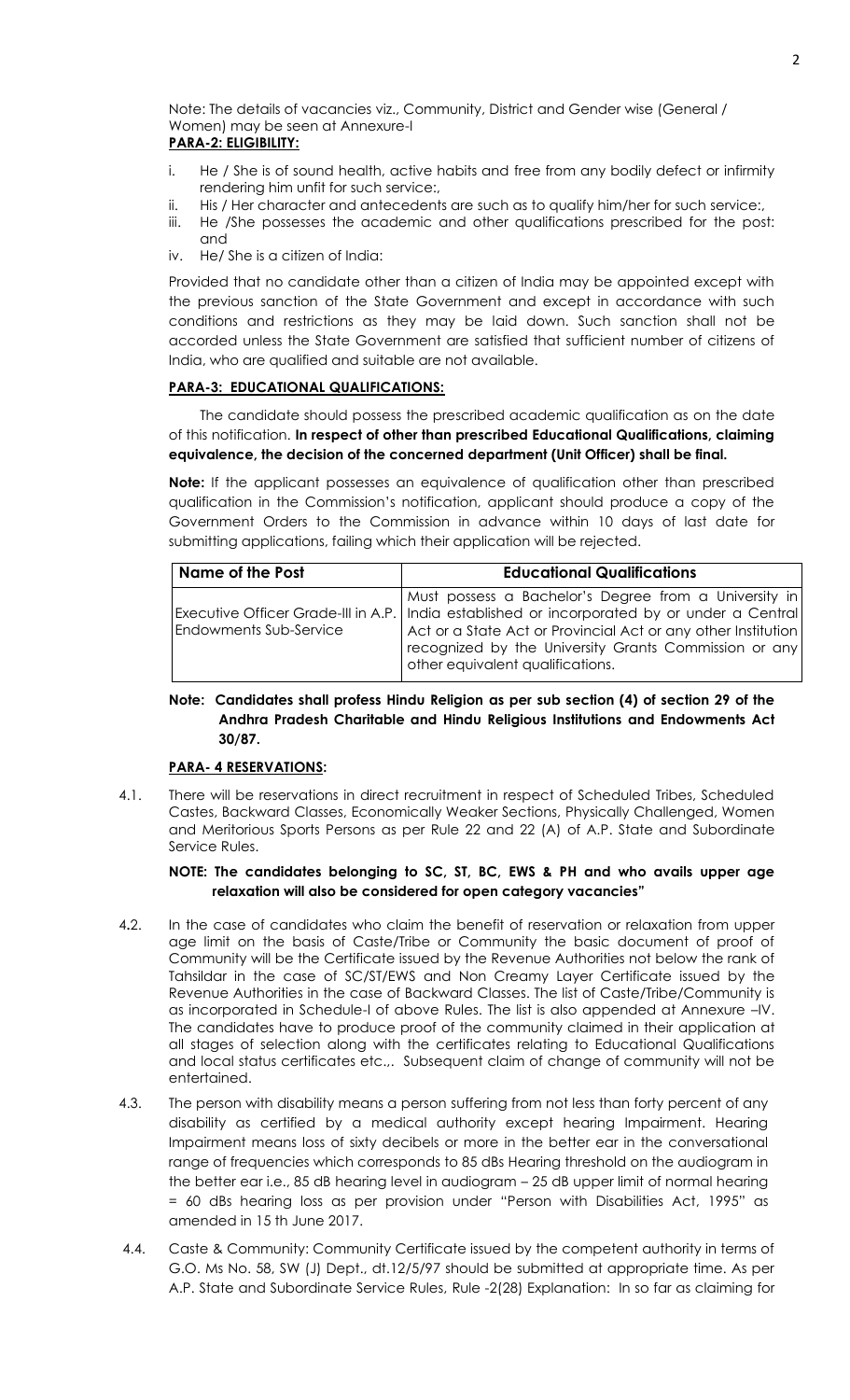Note: The details of vacancies viz., Community, District and Gender wise (General / Women) may be seen at Annexure-I **PARA-2: ELIGIBILITY:**

- i. He / She is of sound health, active habits and free from any bodily defect or infirmity rendering him unfit for such service:,
- ii. His / Her character and antecedents are such as to qualify him/her for such service:,
- iii. He /She possesses the academic and other qualifications prescribed for the post: and
- iv. He/ She is a citizen of India:

Provided that no candidate other than a citizen of India may be appointed except with the previous sanction of the State Government and except in accordance with such conditions and restrictions as they may be laid down. Such sanction shall not be accorded unless the State Government are satisfied that sufficient number of citizens of India, who are qualified and suitable are not available.

# **PARA-3: EDUCATIONAL QUALIFICATIONS:**

 The candidate should possess the prescribed academic qualification as on the date of this notification. **In respect of other than prescribed Educational Qualifications, claiming equivalence, the decision of the concerned department (Unit Officer) shall be final.**

**Note:** If the applicant possesses an equivalence of qualification other than prescribed qualification in the Commission's notification, applicant should produce a copy of the Government Orders to the Commission in advance within 10 days of last date for submitting applications, failing which their application will be rejected.

| Name of the Post              | <b>Educational Qualifications</b>                                                                                                                                                                                                                                                                                    |
|-------------------------------|----------------------------------------------------------------------------------------------------------------------------------------------------------------------------------------------------------------------------------------------------------------------------------------------------------------------|
| <b>Endowments Sub-Service</b> | Must possess a Bachelor's Degree from a University in<br>Executive Officer Grade-III in A.P.   India established or incorporated by or under a Central<br>Act or a State Act or Provincial Act or any other Institution<br>recognized by the University Grants Commission or any<br>other equivalent qualifications. |

# **Note: Candidates shall profess Hindu Religion as per sub section (4) of section 29 of the Andhra Pradesh Charitable and Hindu Religious Institutions and Endowments Act 30/87.**

#### **PARA- 4 RESERVATIONS:**

4.1. There will be reservations in direct recruitment in respect of Scheduled Tribes, Scheduled Castes, Backward Classes, Economically Weaker Sections, Physically Challenged, Women and Meritorious Sports Persons as per Rule 22 and 22 (A) of A.P. State and Subordinate Service Rules.

# **NOTE: The candidates belonging to SC, ST, BC, EWS & PH and who avails upper age relaxation will also be considered for open category vacancies"**

- 4**.**2. In the case of candidates who claim the benefit of reservation or relaxation from upper age limit on the basis of Caste/Tribe or Community the basic document of proof of Community will be the Certificate issued by the Revenue Authorities not below the rank of Tahsildar in the case of SC/ST/EWS and Non Creamy Layer Certificate issued by the Revenue Authorities in the case of Backward Classes. The list of Caste/Tribe/Community is as incorporated in Schedule-I of above Rules. The list is also appended at Annexure –IV. The candidates have to produce proof of the community claimed in their application at all stages of selection along with the certificates relating to Educational Qualifications and local status certificates etc.,. Subsequent claim of change of community will not be entertained.
- 4.3. The person with disability means a person suffering from not less than forty percent of any disability as certified by a medical authority except hearing Impairment. Hearing Impairment means loss of sixty decibels or more in the better ear in the conversational range of frequencies which corresponds to 85 dBs Hearing threshold on the audiogram in the better ear i.e., 85 dB hearing level in audiogram – 25 dB upper limit of normal hearing = 60 dBs hearing loss as per provision under "Person with Disabilities Act, 1995" as amended in 15 th June 2017.
- 4.4. Caste & Community: Community Certificate issued by the competent authority in terms of G.O. Ms No. 58, SW (J) Dept., dt.12/5/97 should be submitted at appropriate time. As per A.P. State and Subordinate Service Rules, Rule -2(28) Explanation: In so far as claiming for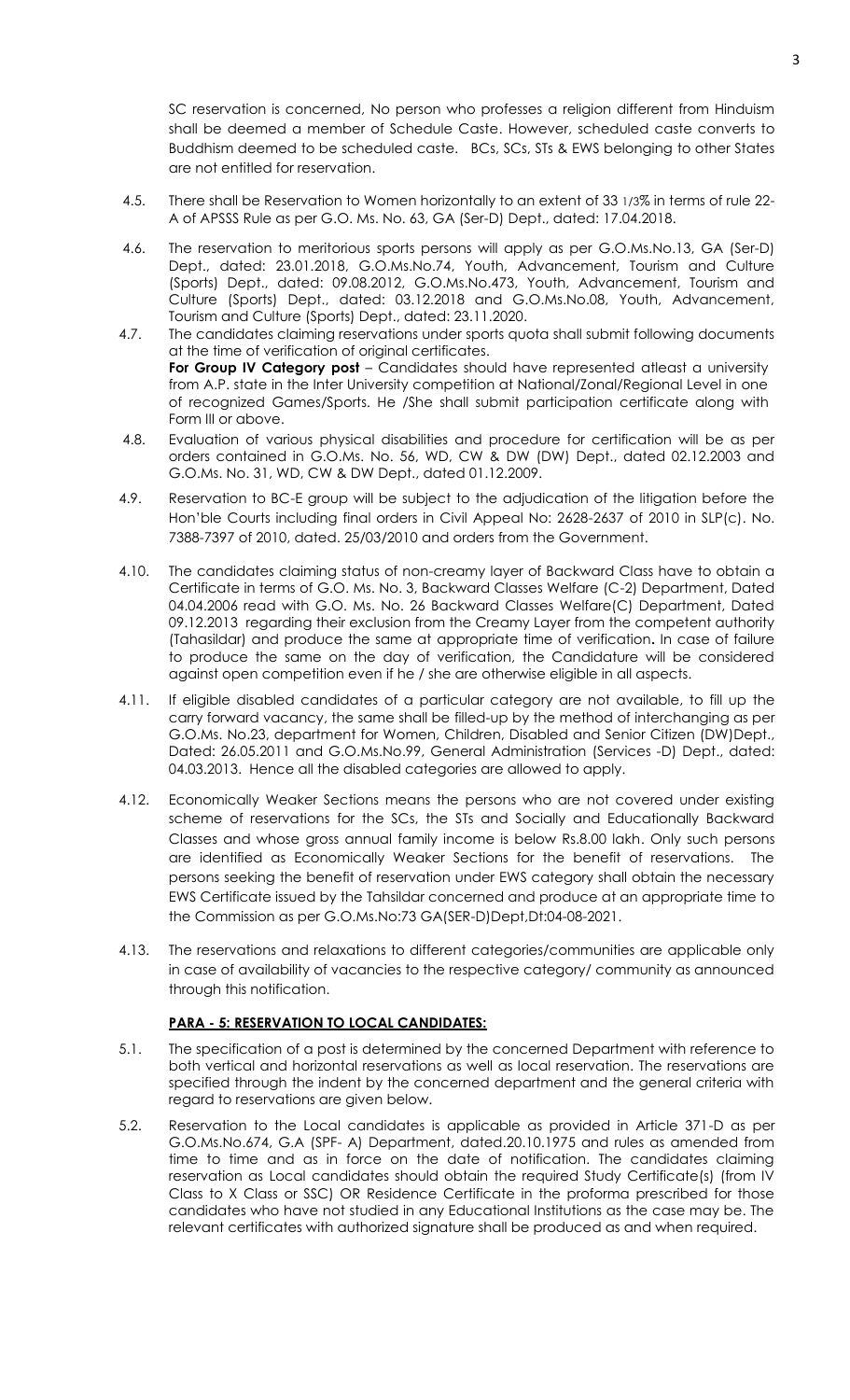SC reservation is concerned, No person who professes a religion different from Hinduism shall be deemed a member of Schedule Caste. However, scheduled caste converts to Buddhism deemed to be scheduled caste. BCs, SCs, STs & EWS belonging to other States are not entitled for reservation.

- 4.5. There shall be Reservation to Women horizontally to an extent of 33 1/3% in terms of rule 22- A of APSSS Rule as per G.O. Ms. No. 63, GA (Ser-D) Dept., dated: 17.04.2018.
- 4.6. The reservation to meritorious sports persons will apply as per G.O.Ms.No.13, GA (Ser-D) Dept., dated: 23.01.2018, G.O.Ms.No.74, Youth, Advancement, Tourism and Culture (Sports) Dept., dated: 09.08.2012, G.O.Ms.No.473, Youth, Advancement, Tourism and Culture (Sports) Dept., dated: 03.12.2018 and G.O.Ms.No.08, Youth, Advancement, Tourism and Culture (Sports) Dept., dated: 23.11.2020.
- 4.7. The candidates claiming reservations under sports quota shall submit following documents at the time of verification of original certificates. **For Group IV Category post** – Candidates should have represented atleast a university from A.P. state in the Inter University competition at National/Zonal/Regional Level in one of recognized Games/Sports. He /She shall submit participation certificate along with Form III or above.
- 4.8. Evaluation of various physical disabilities and procedure for certification will be as per orders contained in G.O.Ms. No. 56, WD, CW & DW (DW) Dept., dated 02.12.2003 and G.O.Ms. No. 31, WD, CW & DW Dept., dated 01.12.2009.
- 4.9. Reservation to BC-E group will be subject to the adjudication of the litigation before the Hon'ble Courts including final orders in Civil Appeal No: 2628-2637 of 2010 in SLP(c). No. 7388-7397 of 2010, dated. 25/03/2010 and orders from the Government.
- 4.10. The candidates claiming status of non-creamy layer of Backward Class have to obtain a Certificate in terms of G.O. Ms. No. 3, Backward Classes Welfare (C-2) Department, Dated 04.04.2006 read with G.O. Ms. No. 26 Backward Classes Welfare(C) Department, Dated 09.12.2013 regarding their exclusion from the Creamy Layer from the competent authority (Tahasildar) and produce the same at appropriate time of verification**.** In case of failure to produce the same on the day of verification, the Candidature will be considered against open competition even if he / she are otherwise eligible in all aspects.
- 4.11. If eligible disabled candidates of a particular category are not available, to fill up the carry forward vacancy, the same shall be filled-up by the method of interchanging as per G.O.Ms. No.23, department for Women, Children, Disabled and Senior Citizen (DW)Dept., Dated: 26.05.2011 and G.O.Ms.No.99, General Administration (Services -D) Dept., dated: 04.03.2013. Hence all the disabled categories are allowed to apply.
- 4.12. Economically Weaker Sections means the persons who are not covered under existing scheme of reservations for the SCs, the STs and Socially and Educationally Backward Classes and whose gross annual family income is below Rs.8.00 lakh. Only such persons are identified as Economically Weaker Sections for the benefit of reservations. The persons seeking the benefit of reservation under EWS category shall obtain the necessary EWS Certificate issued by the Tahsildar concerned and produce at an appropriate time to the Commission as per G.O.Ms.No:73 GA(SER-D)Dept,Dt:04-08-2021.
- 4.13. The reservations and relaxations to different categories/communities are applicable only in case of availability of vacancies to the respective category/ community as announced through this notification.

# **PARA - 5: RESERVATION TO LOCAL CANDIDATES:**

- 5.1. The specification of a post is determined by the concerned Department with reference to both vertical and horizontal reservations as well as local reservation. The reservations are specified through the indent by the concerned department and the general criteria with regard to reservations are given below.
- 5.2. Reservation to the Local candidates is applicable as provided in Article 371-D as per G.O.Ms.No.674, G.A (SPF- A) Department, dated.20.10.1975 and rules as amended from time to time and as in force on the date of notification. The candidates claiming reservation as Local candidates should obtain the required Study Certificate(s) (from IV Class to X Class or SSC) OR Residence Certificate in the proforma prescribed for those candidates who have not studied in any Educational Institutions as the case may be. The relevant certificates with authorized signature shall be produced as and when required.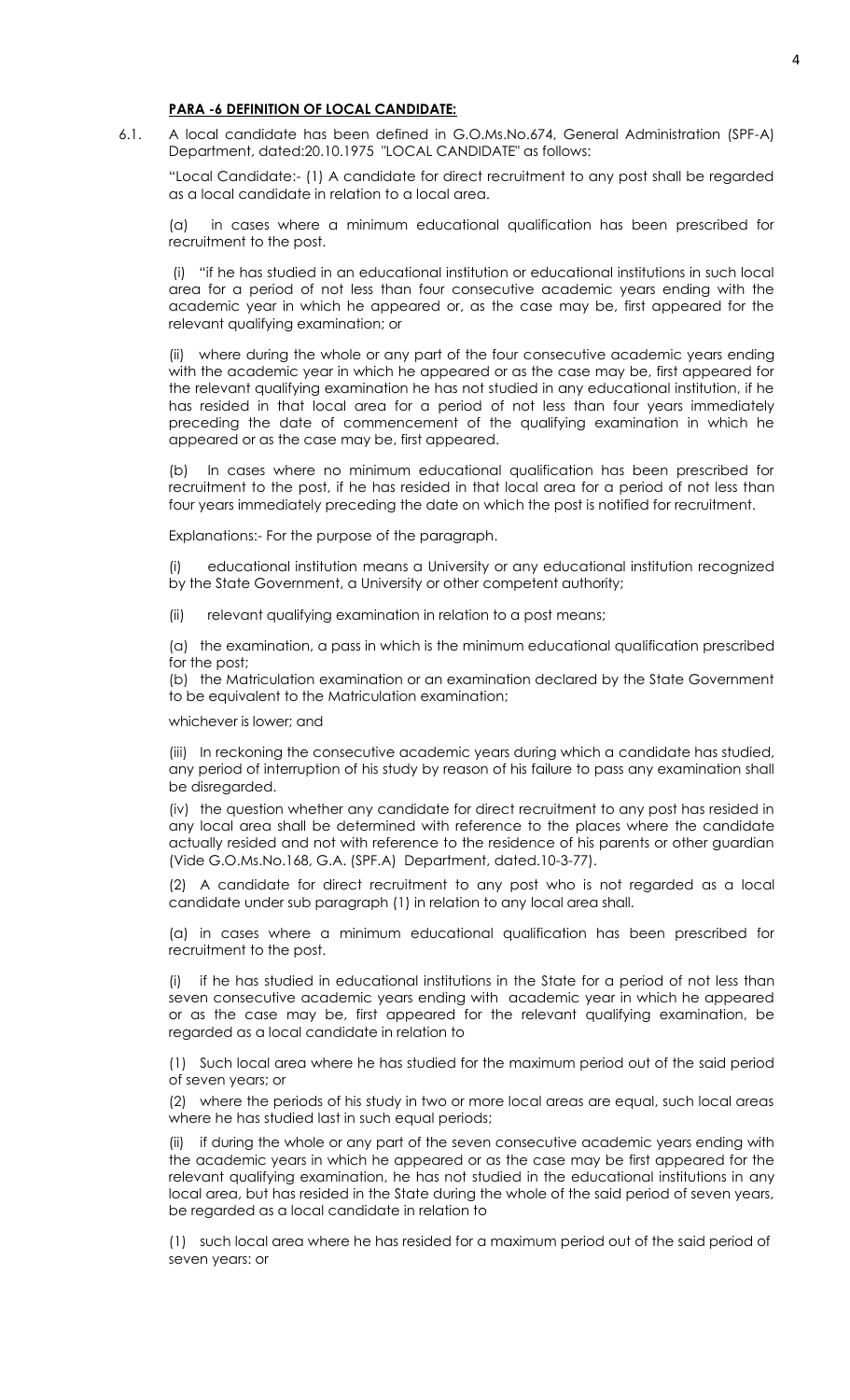## **PARA -6 DEFINITION OF LOCAL CANDIDATE:**

6.1. A local candidate has been defined in G.O.Ms.No.674, General Administration (SPF-A) Department, dated:20.10.1975 "LOCAL CANDIDATE" as follows:

"Local Candidate:- (1) A candidate for direct recruitment to any post shall be regarded as a local candidate in relation to a local area.

(a) in cases where a minimum educational qualification has been prescribed for recruitment to the post.

(i) "if he has studied in an educational institution or educational institutions in such local area for a period of not less than four consecutive academic years ending with the academic year in which he appeared or, as the case may be, first appeared for the relevant qualifying examination; or

where during the whole or any part of the four consecutive academic years ending with the academic year in which he appeared or as the case may be, first appeared for the relevant qualifying examination he has not studied in any educational institution, if he has resided in that local area for a period of not less than four years immediately preceding the date of commencement of the qualifying examination in which he appeared or as the case may be, first appeared.

(b) In cases where no minimum educational qualification has been prescribed for recruitment to the post, if he has resided in that local area for a period of not less than four years immediately preceding the date on which the post is notified for recruitment.

Explanations:- For the purpose of the paragraph.

(i) educational institution means a University or any educational institution recognized by the State Government, a University or other competent authority;

(ii) relevant qualifying examination in relation to a post means;

(a) the examination, a pass in which is the minimum educational qualification prescribed for the post;

(b) the Matriculation examination or an examination declared by the State Government to be equivalent to the Matriculation examination;

whichever is lower; and

(iii) In reckoning the consecutive academic years during which a candidate has studied, any period of interruption of his study by reason of his failure to pass any examination shall be disregarded.

(iv) the question whether any candidate for direct recruitment to any post has resided in any local area shall be determined with reference to the places where the candidate actually resided and not with reference to the residence of his parents or other guardian (Vide G.O.Ms.No.168, G.A. (SPF.A) Department, dated.10-3-77).

(2) A candidate for direct recruitment to any post who is not regarded as a local candidate under sub paragraph (1) in relation to any local area shall.

(a) in cases where a minimum educational qualification has been prescribed for recruitment to the post.

(i) if he has studied in educational institutions in the State for a period of not less than seven consecutive academic years ending with academic year in which he appeared or as the case may be, first appeared for the relevant qualifying examination, be regarded as a local candidate in relation to

(1) Such local area where he has studied for the maximum period out of the said period of seven years; or

(2) where the periods of his study in two or more local areas are equal, such local areas where he has studied last in such equal periods;

(ii) if during the whole or any part of the seven consecutive academic years ending with the academic years in which he appeared or as the case may be first appeared for the relevant qualifying examination, he has not studied in the educational institutions in any local area, but has resided in the State during the whole of the said period of seven years, be regarded as a local candidate in relation to

(1) such local area where he has resided for a maximum period out of the said period of seven years: or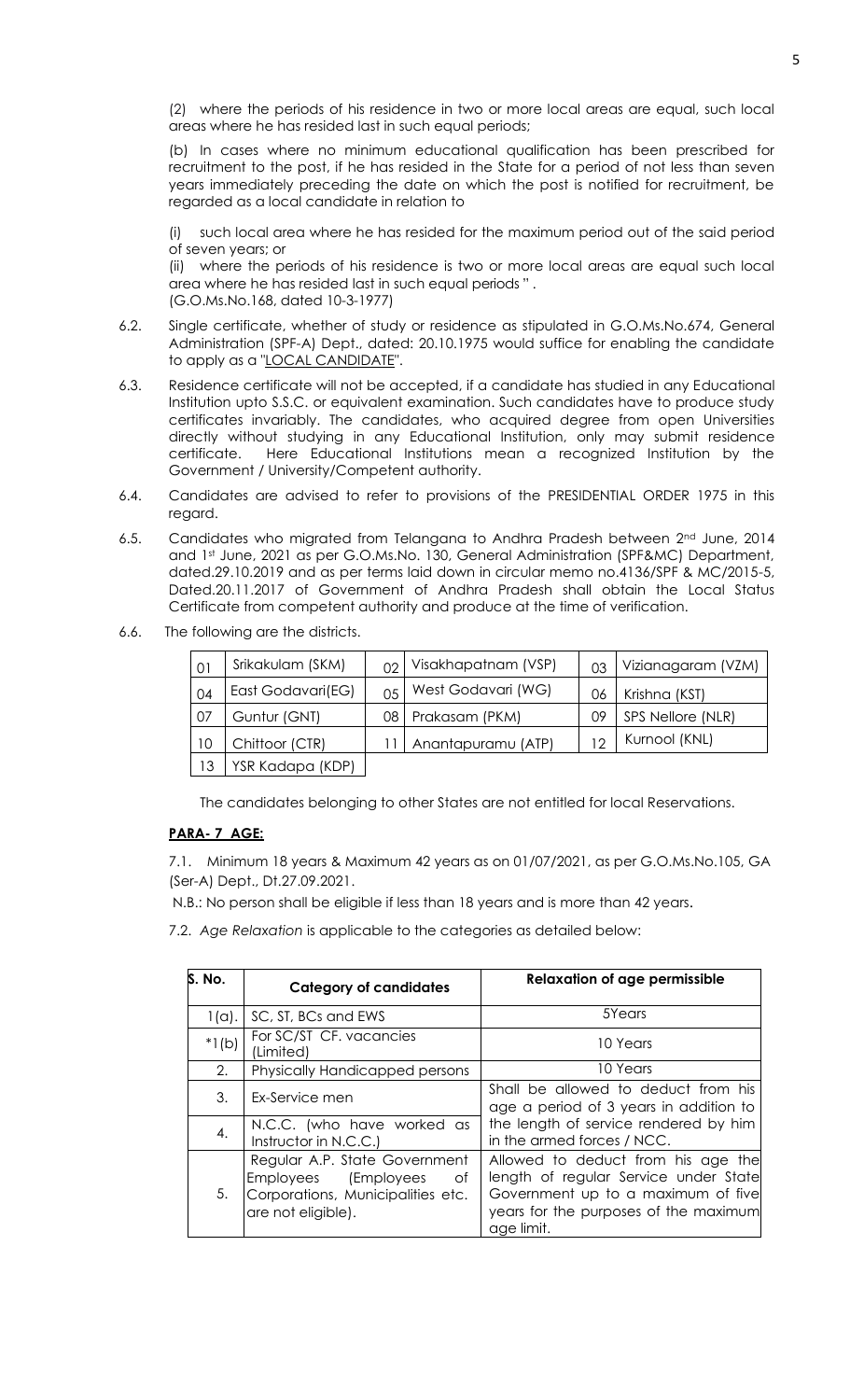(2) where the periods of his residence in two or more local areas are equal, such local areas where he has resided last in such equal periods;

(b) In cases where no minimum educational qualification has been prescribed for recruitment to the post, if he has resided in the State for a period of not less than seven years immediately preceding the date on which the post is notified for recruitment, be regarded as a local candidate in relation to

(i) such local area where he has resided for the maximum period out of the said period of seven years; or

(ii) where the periods of his residence is two or more local areas are equal such local area where he has resided last in such equal periods " . (G.O.Ms.No.168, dated 10-3-1977)

- 6.2. Single certificate, whether of study or residence as stipulated in G.O.Ms.No.674, General Administration (SPF-A) Dept., dated: 20.10.1975 would suffice for enabling the candidate to apply as a "LOCAL CANDIDATE".
- 6.3. Residence certificate will not be accepted, if a candidate has studied in any Educational Institution upto S.S.C. or equivalent examination. Such candidates have to produce study certificates invariably. The candidates, who acquired degree from open Universities directly without studying in any Educational Institution, only may submit residence certificate. Here Educational Institutions mean a recognized Institution by the Government / University/Competent authority.
- 6.4. Candidates are advised to refer to provisions of the PRESIDENTIAL ORDER 1975 in this regard.
- 6.5. Candidates who migrated from Telangana to Andhra Pradesh between 2nd June, 2014 and 1st June, 2021 as per G.O.Ms.No. 130, General Administration (SPF&MC) Department, dated.29.10.2019 and as per terms laid down in circular memo no.4136/SPF & MC/2015-5, Dated.20.11.2017 of Government of Andhra Pradesh shall obtain the Local Status Certificate from competent authority and produce at the time of verification.
- 6.6. The following are the districts.

| 01 | Srikakulam (SKM)  | $\Omega$     | Visakhapatnam (VSP) | 0 <sub>3</sub> | Vizianagaram (VZM) |
|----|-------------------|--------------|---------------------|----------------|--------------------|
| 04 | East Godavari(EG) | $05^{\circ}$ | West Godavari (WG)  | 06             | Krishna (KST)      |
| 07 | Guntur (GNT)      | 08           | Prakasam (PKM)      | 09             | SPS Nellore (NLR)  |
| 10 | Chittoor (CTR)    |              | Anantapuramu (ATP)  | 1 ೧            | Kurnool (KNL)      |
| 13 | YSR Kadapa (KDP)  |              |                     |                |                    |

The candidates belonging to other States are not entitled for local Reservations.

# **PARA- 7 AGE:**

7.1. Minimum 18 years & Maximum 42 years as on 01/07/2021, as per G.O.Ms.No.105, GA (Ser-A) Dept., Dt.27.09.2021.

N.B.: No person shall be eligible if less than 18 years and is more than 42 years.

7.2. *Age Relaxation* is applicable to the categories as detailed below:

| S. No.   | <b>Category of candidates</b>                                                                                          | <b>Relaxation of age permissible</b>                                                                                                                                     |  |  |  |  |  |  |  |  |
|----------|------------------------------------------------------------------------------------------------------------------------|--------------------------------------------------------------------------------------------------------------------------------------------------------------------------|--|--|--|--|--|--|--|--|
| $1(a)$ . | SC, ST, BCs and EWS                                                                                                    | 5Years                                                                                                                                                                   |  |  |  |  |  |  |  |  |
| $*1(b)$  | For SC/ST CF. vacancies<br>(Limited)                                                                                   | 10 Years                                                                                                                                                                 |  |  |  |  |  |  |  |  |
| 2.       | <b>Physically Handicapped persons</b>                                                                                  | 10 Years                                                                                                                                                                 |  |  |  |  |  |  |  |  |
| 3.       | Ex-Service men                                                                                                         | Shall be allowed to deduct from his<br>age a period of 3 years in addition to                                                                                            |  |  |  |  |  |  |  |  |
| 4.       | N.C.C. (who have worked as<br>Instructor in N.C.C.)                                                                    | the length of service rendered by him<br>in the armed forces / NCC.                                                                                                      |  |  |  |  |  |  |  |  |
| 5.       | Regular A.P. State Government<br>Employees (Employees<br>0f<br>Corporations, Municipalities etc.<br>are not eligible). | Allowed to deduct from his age the<br>length of regular Service under State<br>Government up to a maximum of five<br>years for the purposes of the maximum<br>age limit. |  |  |  |  |  |  |  |  |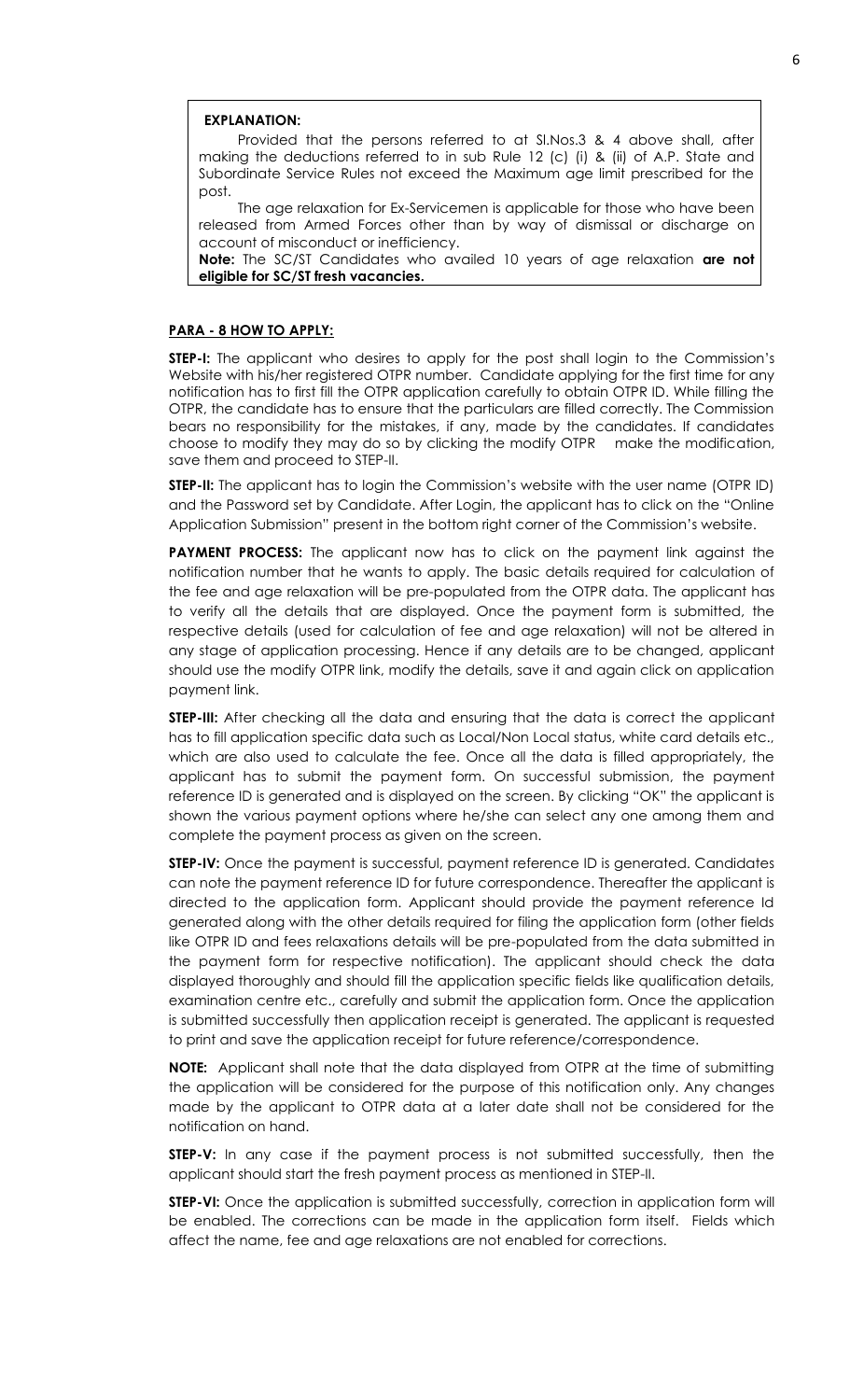#### **EXPLANATION:**

Provided that the persons referred to at Sl.Nos.3 & 4 above shall, after making the deductions referred to in sub Rule 12 (c) (i) & (ii) of A.P. State and Subordinate Service Rules not exceed the Maximum age limit prescribed for the post.

The age relaxation for Ex-Servicemen is applicable for those who have been released from Armed Forces other than by way of dismissal or discharge on account of misconduct or inefficiency.

**Note:** The SC/ST Candidates who availed 10 years of age relaxation **are not eligible for SC/ST fresh vacancies.**

#### **PARA - 8 HOW TO APPLY:**

**STEP-I:** The applicant who desires to apply for the post shall login to the Commission's Website with his/her registered OTPR number. Candidate applying for the first time for any notification has to first fill the OTPR application carefully to obtain OTPR ID. While filling the OTPR, the candidate has to ensure that the particulars are filled correctly. The Commission bears no responsibility for the mistakes, if any, made by the candidates. If candidates choose to modify they may do so by clicking the modify OTPR make the modification, save them and proceed to STEP-II.

**STEP-II:** The applicant has to login the Commission's website with the user name (OTPR ID) and the Password set by Candidate. After Login, the applicant has to click on the "Online Application Submission" present in the bottom right corner of the Commission's website.

**PAYMENT PROCESS:** The applicant now has to click on the payment link against the notification number that he wants to apply. The basic details required for calculation of the fee and age relaxation will be pre-populated from the OTPR data. The applicant has to verify all the details that are displayed. Once the payment form is submitted, the respective details (used for calculation of fee and age relaxation) will not be altered in any stage of application processing. Hence if any details are to be changed, applicant should use the modify OTPR link, modify the details, save it and again click on application payment link.

**STEP-III:** After checking all the data and ensuring that the data is correct the applicant has to fill application specific data such as Local/Non Local status, white card details etc., which are also used to calculate the fee. Once all the data is filled appropriately, the applicant has to submit the payment form. On successful submission, the payment reference ID is generated and is displayed on the screen. By clicking "OK" the applicant is shown the various payment options where he/she can select any one among them and complete the payment process as given on the screen.

**STEP-IV:** Once the payment is successful, payment reference ID is generated. Candidates can note the payment reference ID for future correspondence. Thereafter the applicant is directed to the application form. Applicant should provide the payment reference Id generated along with the other details required for filing the application form (other fields like OTPR ID and fees relaxations details will be pre-populated from the data submitted in the payment form for respective notification). The applicant should check the data displayed thoroughly and should fill the application specific fields like qualification details, examination centre etc., carefully and submit the application form. Once the application is submitted successfully then application receipt is generated. The applicant is requested to print and save the application receipt for future reference/correspondence.

**NOTE:** Applicant shall note that the data displayed from OTPR at the time of submitting the application will be considered for the purpose of this notification only. Any changes made by the applicant to OTPR data at a later date shall not be considered for the notification on hand.

**STEP-V:** In any case if the payment process is not submitted successfully, then the applicant should start the fresh payment process as mentioned in STEP-II.

**STEP-VI:** Once the application is submitted successfully, correction in application form will be enabled. The corrections can be made in the application form itself. Fields which affect the name, fee and age relaxations are not enabled for corrections.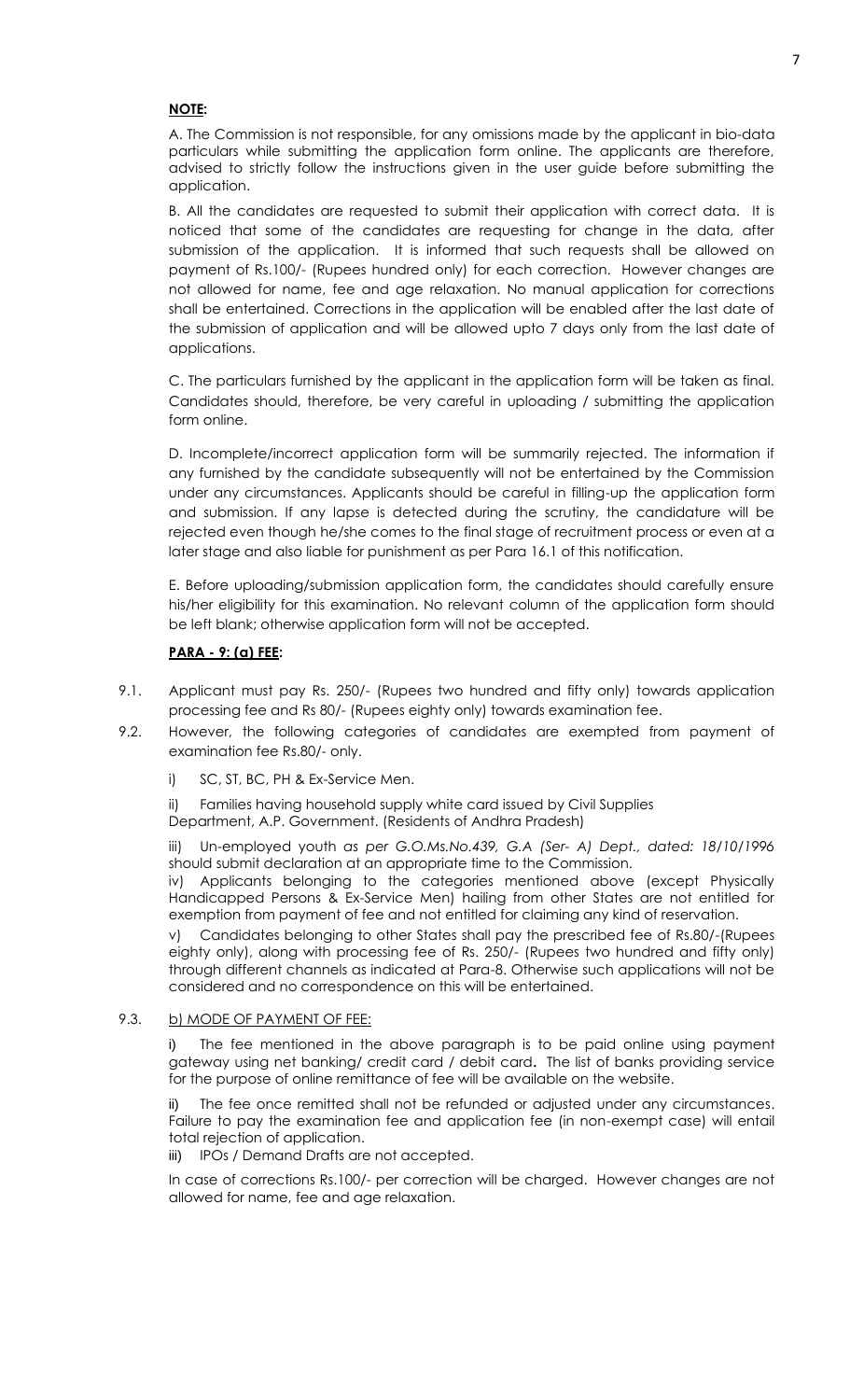#### **NOTE:**

A. The Commission is not responsible, for any omissions made by the applicant in bio-data particulars while submitting the application form online. The applicants are therefore, advised to strictly follow the instructions given in the user guide before submitting the application.

B. All the candidates are requested to submit their application with correct data. It is noticed that some of the candidates are requesting for change in the data, after submission of the application. It is informed that such requests shall be allowed on payment of Rs.100/- (Rupees hundred only) for each correction. However changes are not allowed for name, fee and age relaxation. No manual application for corrections shall be entertained. Corrections in the application will be enabled after the last date of the submission of application and will be allowed upto 7 days only from the last date of applications.

C. The particulars furnished by the applicant in the application form will be taken as final. Candidates should, therefore, be very careful in uploading / submitting the application form online.

D. Incomplete/incorrect application form will be summarily rejected. The information if any furnished by the candidate subsequently will not be entertained by the Commission under any circumstances. Applicants should be careful in filling-up the application form and submission. If any lapse is detected during the scrutiny, the candidature will be rejected even though he/she comes to the final stage of recruitment process or even at a later stage and also liable for punishment as per Para 16.1 of this notification.

E. Before uploading/submission application form, the candidates should carefully ensure his/her eligibility for this examination. No relevant column of the application form should be left blank; otherwise application form will not be accepted.

#### **PARA - 9: (a) FEE:**

- 9.1. Applicant must pay Rs. 250/- (Rupees two hundred and fifty only) towards application processing fee and Rs 80/- (Rupees eighty only) towards examination fee.
- 9.2. However, the following categories of candidates are exempted from payment of examination fee Rs.80/- only.
	- i) SC, ST, BC, PH & Ex-Service Men.
	- ii) Families having household supply white card issued by Civil Supplies

Department, A.P. Government. (Residents of Andhra Pradesh)

iii) Un-employed youth *as per G.O.Ms.No.439, G.A (Ser- A) Dept., dated: 18/10/1996* should submit declaration at an appropriate time to the Commission.

iv) Applicants belonging to the categories mentioned above (except Physically Handicapped Persons & Ex-Service Men) hailing from other States are not entitled for exemption from payment of fee and not entitled for claiming any kind of reservation.

v) Candidates belonging to other States shall pay the prescribed fee of Rs.80/-(Rupees eighty only), along with processing fee of Rs. 250/- (Rupees two hundred and fifty only) through different channels as indicated at Para-8. Otherwise such applications will not be considered and no correspondence on this will be entertained.

#### 9.3. b) MODE OF PAYMENT OF FEE:

i) The fee mentioned in the above paragraph is to be paid online using payment gateway using net banking/ credit card / debit card**.** The list of banks providing service for the purpose of online remittance of fee will be available on the website.

The fee once remitted shall not be refunded or adjusted under any circumstances. Failure to pay the examination fee and application fee (in non-exempt case) will entail total rejection of application.

iii) IPOs / Demand Drafts are not accepted.

In case of corrections Rs.100/- per correction will be charged. However changes are not allowed for name, fee and age relaxation.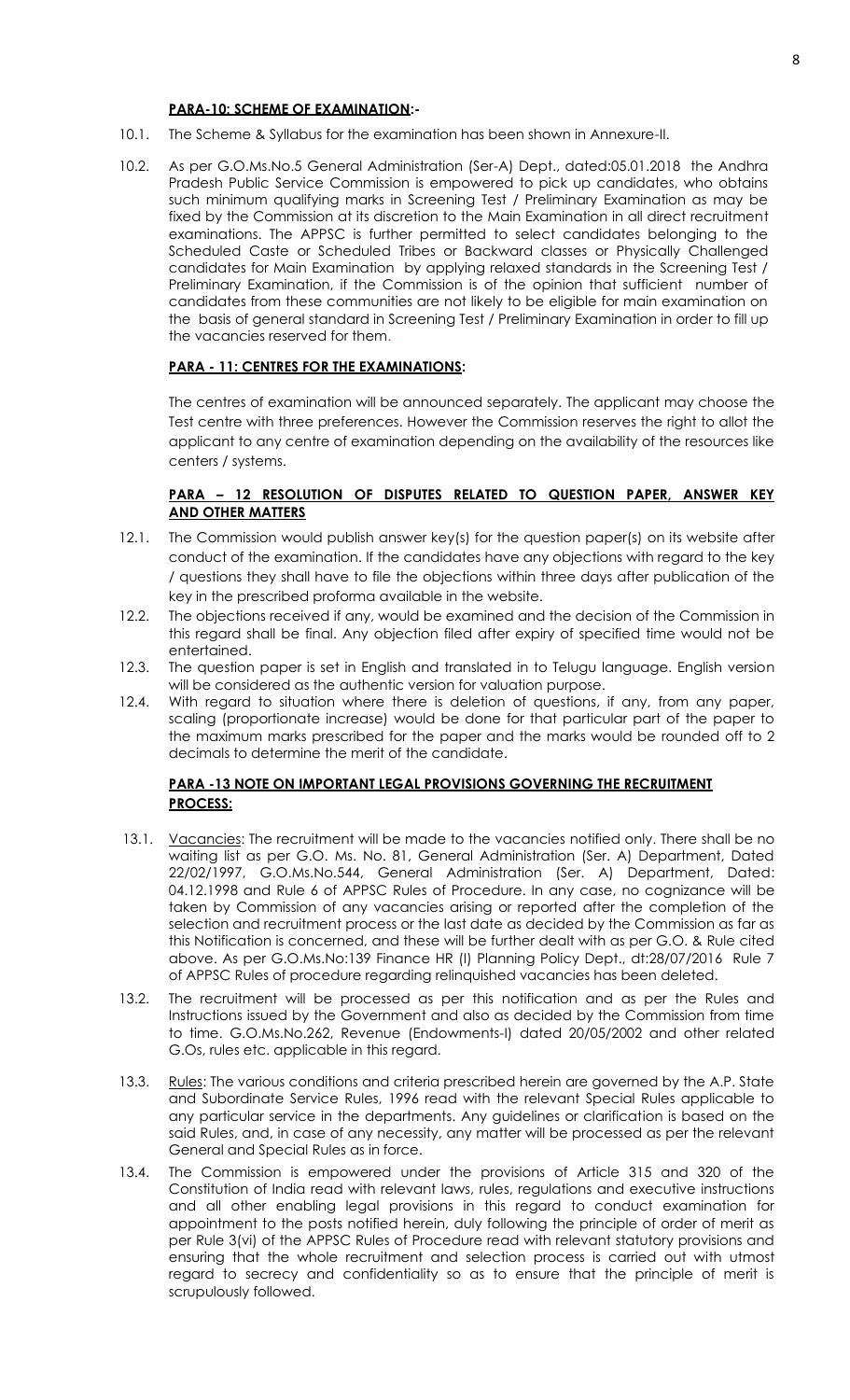#### **PARA-10: SCHEME OF EXAMINATION:-**

- 10.1. The Scheme & Syllabus for the examination has been shown in Annexure-II.
- 10.2. As per G.O.Ms.No.5 General Administration (Ser-A) Dept., dated:05.01.2018 the Andhra Pradesh Public Service Commission is empowered to pick up candidates, who obtains such minimum qualifying marks in Screening Test / Preliminary Examination as may be fixed by the Commission at its discretion to the Main Examination in all direct recruitment examinations. The APPSC is further permitted to select candidates belonging to the Scheduled Caste or Scheduled Tribes or Backward classes or Physically Challenged candidates for Main Examination by applying relaxed standards in the Screening Test / Preliminary Examination, if the Commission is of the opinion that sufficient number of candidates from these communities are not likely to be eligible for main examination on the basis of general standard in Screening Test / Preliminary Examination in order to fill up the vacancies reserved for them.

#### **PARA - 11: CENTRES FOR THE EXAMINATIONS:**

The centres of examination will be announced separately. The applicant may choose the Test centre with three preferences. However the Commission reserves the right to allot the applicant to any centre of examination depending on the availability of the resources like centers / systems.

#### **PARA – 12 RESOLUTION OF DISPUTES RELATED TO QUESTION PAPER, ANSWER KEY AND OTHER MATTERS**

- 12.1. The Commission would publish answer key(s) for the question paper(s) on its website after conduct of the examination. If the candidates have any objections with regard to the key / questions they shall have to file the objections within three days after publication of the key in the prescribed proforma available in the website.
- 12.2. The objections received if any, would be examined and the decision of the Commission in this regard shall be final. Any objection filed after expiry of specified time would not be entertained.
- 12.3. The question paper is set in English and translated in to Telugu language. English version will be considered as the authentic version for valuation purpose.
- 12.4. With regard to situation where there is deletion of questions, if any, from any paper, scaling (proportionate increase) would be done for that particular part of the paper to the maximum marks prescribed for the paper and the marks would be rounded off to 2 decimals to determine the merit of the candidate.

#### **PARA -13 NOTE ON IMPORTANT LEGAL PROVISIONS GOVERNING THE RECRUITMENT PROCESS:**

- 13.1. Vacancies: The recruitment will be made to the vacancies notified only. There shall be no waiting list as per G.O. Ms. No. 81, General Administration (Ser. A) Department, Dated 22/02/1997, G.O.Ms.No.544, General Administration (Ser. A) Department, Dated: 04.12.1998 and Rule 6 of APPSC Rules of Procedure. In any case, no cognizance will be taken by Commission of any vacancies arising or reported after the completion of the selection and recruitment process or the last date as decided by the Commission as far as this Notification is concerned, and these will be further dealt with as per G.O. & Rule cited above. As per G.O.Ms.No:139 Finance HR (I) Planning Policy Dept., dt:28/07/2016 Rule 7 of APPSC Rules of procedure regarding relinquished vacancies has been deleted.
- 13.2. The recruitment will be processed as per this notification and as per the Rules and Instructions issued by the Government and also as decided by the Commission from time to time. G.O.Ms.No.262, Revenue (Endowments-I) dated 20/05/2002 and other related G.Os, rules etc. applicable in this regard.
- 13.3. Rules: The various conditions and criteria prescribed herein are governed by the A.P. State and Subordinate Service Rules, 1996 read with the relevant Special Rules applicable to any particular service in the departments. Any guidelines or clarification is based on the said Rules, and, in case of any necessity, any matter will be processed as per the relevant General and Special Rules as in force.
- 13.4. The Commission is empowered under the provisions of Article 315 and 320 of the Constitution of India read with relevant laws, rules, regulations and executive instructions and all other enabling legal provisions in this regard to conduct examination for appointment to the posts notified herein, duly following the principle of order of merit as per Rule 3(vi) of the APPSC Rules of Procedure read with relevant statutory provisions and ensuring that the whole recruitment and selection process is carried out with utmost regard to secrecy and confidentiality so as to ensure that the principle of merit is scrupulously followed.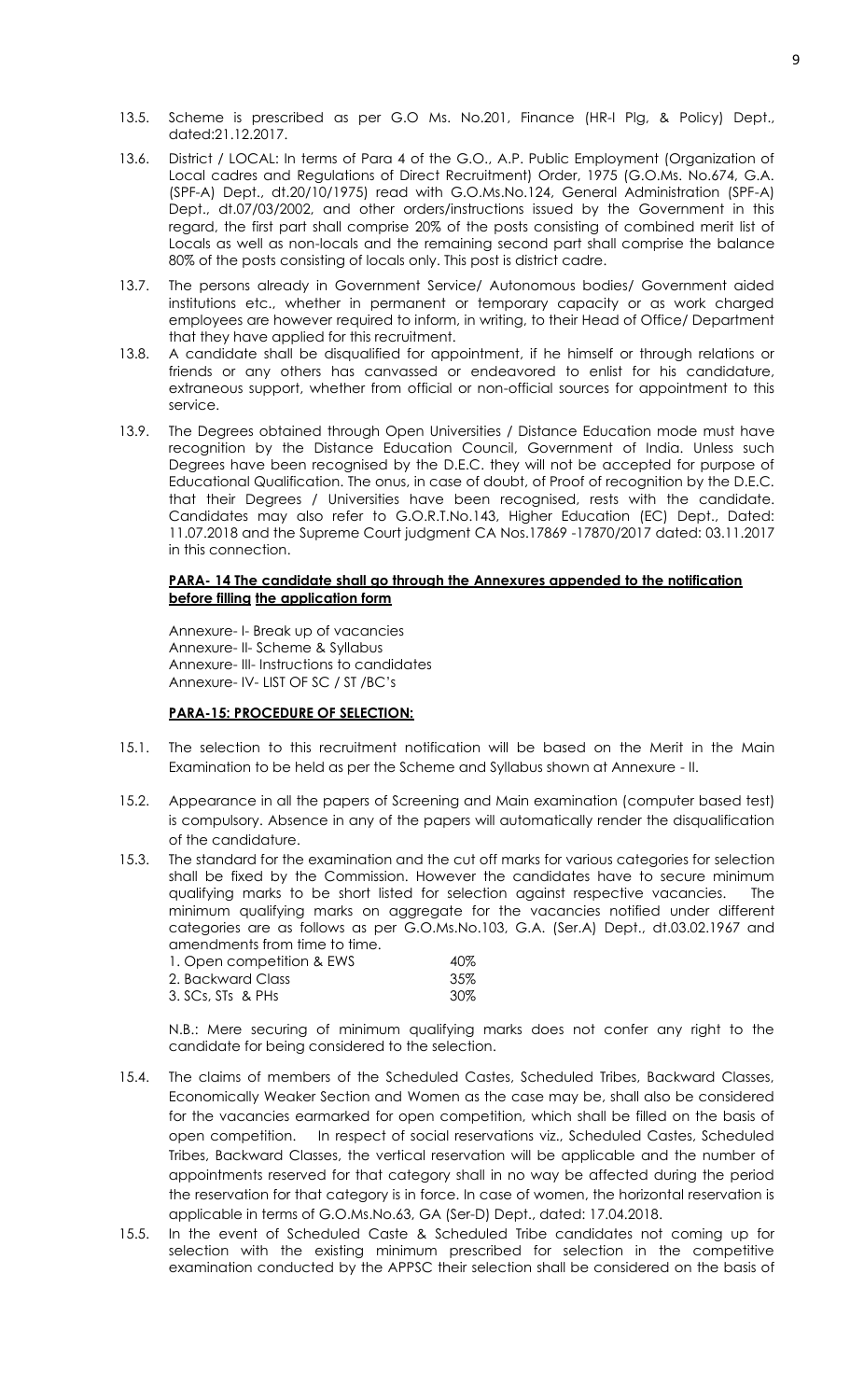- 13.5. Scheme is prescribed as per G.O Ms. No.201, Finance (HR-I Plg, & Policy) Dept., dated:21.12.2017.
- 13.6. District / LOCAL: In terms of Para 4 of the G.O., A.P. Public Employment (Organization of Local cadres and Regulations of Direct Recruitment) Order, 1975 (G.O.Ms. No.674, G.A. (SPF-A) Dept., dt.20/10/1975) read with G.O.Ms.No.124, General Administration (SPF-A) Dept., dt.07/03/2002, and other orders/instructions issued by the Government in this regard, the first part shall comprise 20% of the posts consisting of combined merit list of Locals as well as non-locals and the remaining second part shall comprise the balance 80% of the posts consisting of locals only. This post is district cadre.
- 13.7. The persons already in Government Service/ Autonomous bodies/ Government aided institutions etc., whether in permanent or temporary capacity or as work charged employees are however required to inform, in writing, to their Head of Office/ Department that they have applied for this recruitment.
- 13.8. A candidate shall be disqualified for appointment, if he himself or through relations or friends or any others has canvassed or endeavored to enlist for his candidature, extraneous support, whether from official or non-official sources for appointment to this service.
- 13.9. The Degrees obtained through Open Universities / Distance Education mode must have recognition by the Distance Education Council, Government of India. Unless such Degrees have been recognised by the D.E.C. they will not be accepted for purpose of Educational Qualification. The onus, in case of doubt, of Proof of recognition by the D.E.C. that their Degrees / Universities have been recognised, rests with the candidate. Candidates may also refer to G.O.R.T.No.143, Higher Education (EC) Dept., Dated: 11.07.2018 and the Supreme Court judgment CA Nos.17869 -17870/2017 dated: 03.11.2017 in this connection.

#### **PARA- 14 The candidate shall go through the Annexures appended to the notification before filling the application form**

Annexure- I- Break up of vacancies Annexure- II- Scheme & Syllabus Annexure- III- Instructions to candidates Annexure- IV- LIST OF SC / ST /BC's

#### **PARA-15: PROCEDURE OF SELECTION:**

- 15.1. The selection to this recruitment notification will be based on the Merit in the Main Examination to be held as per the Scheme and Syllabus shown at Annexure - II.
- 15.2. Appearance in all the papers of Screening and Main examination (computer based test) is compulsory. Absence in any of the papers will automatically render the disqualification of the candidature.
- 15.3. The standard for the examination and the cut off marks for various categories for selection shall be fixed by the Commission. However the candidates have to secure minimum qualifying marks to be short listed for selection against respective vacancies. The minimum qualifying marks on aggregate for the vacancies notified under different categories are as follows as per G.O.Ms.No.103, G.A. (Ser.A) Dept., dt.03.02.1967 and amendments from time to time.

| 1. Open competition & EWS | 40%  |
|---------------------------|------|
| 2. Backward Class         | -35% |
| 3. SCs, STs & PHs         | -30% |

N.B.: Mere securing of minimum qualifying marks does not confer any right to the candidate for being considered to the selection.

- 15.4. The claims of members of the Scheduled Castes, Scheduled Tribes, Backward Classes, Economically Weaker Section and Women as the case may be, shall also be considered for the vacancies earmarked for open competition, which shall be filled on the basis of open competition. In respect of social reservations viz., Scheduled Castes, Scheduled Tribes, Backward Classes, the vertical reservation will be applicable and the number of appointments reserved for that category shall in no way be affected during the period the reservation for that category is in force. In case of women, the horizontal reservation is applicable in terms of G.O.Ms.No.63, GA (Ser-D) Dept., dated: 17.04.2018.
- 15.5. In the event of Scheduled Caste & Scheduled Tribe candidates not coming up for selection with the existing minimum prescribed for selection in the competitive examination conducted by the APPSC their selection shall be considered on the basis of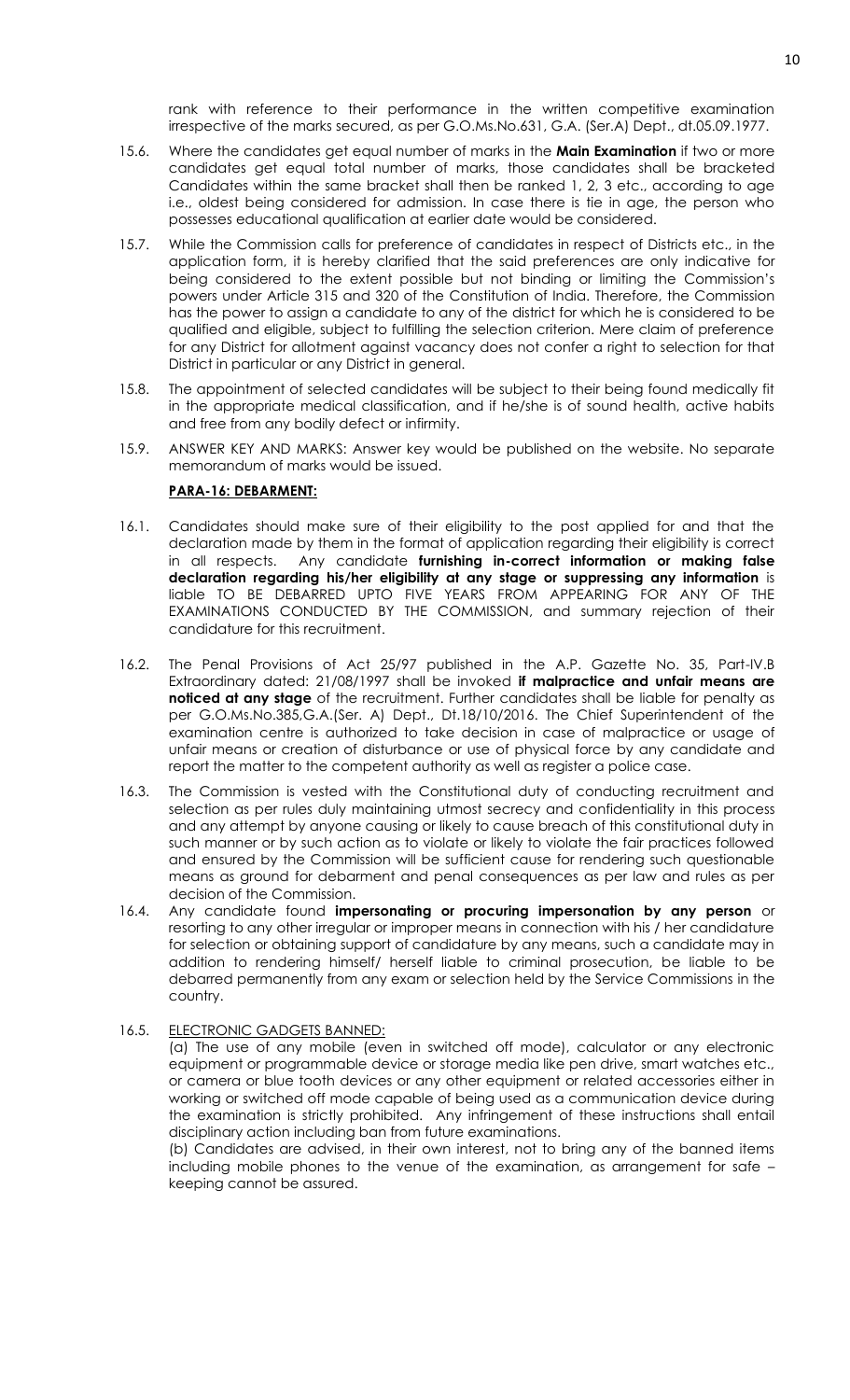rank with reference to their performance in the written competitive examination irrespective of the marks secured, as per G.O.Ms.No.631, G.A. (Ser.A) Dept., dt.05.09.1977.

- 15.6. Where the candidates get equal number of marks in the **Main Examination** if two or more candidates get equal total number of marks, those candidates shall be bracketed Candidates within the same bracket shall then be ranked 1, 2, 3 etc., according to age i.e., oldest being considered for admission. In case there is tie in age, the person who possesses educational qualification at earlier date would be considered.
- 15.7. While the Commission calls for preference of candidates in respect of Districts etc., in the application form, it is hereby clarified that the said preferences are only indicative for being considered to the extent possible but not binding or limiting the Commission's powers under Article 315 and 320 of the Constitution of India. Therefore, the Commission has the power to assign a candidate to any of the district for which he is considered to be qualified and eligible, subject to fulfilling the selection criterion. Mere claim of preference for any District for allotment against vacancy does not confer a right to selection for that District in particular or any District in general.
- 15.8. The appointment of selected candidates will be subject to their being found medically fit in the appropriate medical classification, and if he/she is of sound health, active habits and free from any bodily defect or infirmity.
- 15.9. ANSWER KEY AND MARKS: Answer key would be published on the website. No separate memorandum of marks would be issued.

## **PARA-16: DEBARMENT:**

- 16.1. Candidates should make sure of their eligibility to the post applied for and that the declaration made by them in the format of application regarding their eligibility is correct in all respects. Any candidate **furnishing in-correct information or making false declaration regarding his/her eligibility at any stage or suppressing any information** is liable TO BE DEBARRED UPTO FIVE YEARS FROM APPEARING FOR ANY OF THE EXAMINATIONS CONDUCTED BY THE COMMISSION, and summary rejection of their candidature for this recruitment.
- 16.2. The Penal Provisions of Act 25/97 published in the A.P. Gazette No. 35, Part-IV.B Extraordinary dated: 21/08/1997 shall be invoked **if malpractice and unfair means are noticed at any stage** of the recruitment. Further candidates shall be liable for penalty as per G.O.Ms.No.385,G.A.(Ser. A) Dept., Dt.18/10/2016. The Chief Superintendent of the examination centre is authorized to take decision in case of malpractice or usage of unfair means or creation of disturbance or use of physical force by any candidate and report the matter to the competent authority as well as register a police case.
- 16.3. The Commission is vested with the Constitutional duty of conducting recruitment and selection as per rules duly maintaining utmost secrecy and confidentiality in this process and any attempt by anyone causing or likely to cause breach of this constitutional duty in such manner or by such action as to violate or likely to violate the fair practices followed and ensured by the Commission will be sufficient cause for rendering such questionable means as ground for debarment and penal consequences as per law and rules as per decision of the Commission.
- 16.4. Any candidate found **impersonating or procuring impersonation by any person** or resorting to any other irregular or improper means in connection with his / her candidature for selection or obtaining support of candidature by any means, such a candidate may in addition to rendering himself/ herself liable to criminal prosecution, be liable to be debarred permanently from any exam or selection held by the Service Commissions in the country.
- 16.5. ELECTRONIC GADGETS BANNED:

(a) The use of any mobile (even in switched off mode), calculator or any electronic equipment or programmable device or storage media like pen drive, smart watches etc., or camera or blue tooth devices or any other equipment or related accessories either in working or switched off mode capable of being used as a communication device during the examination is strictly prohibited. Any infringement of these instructions shall entail disciplinary action including ban from future examinations.

(b) Candidates are advised, in their own interest, not to bring any of the banned items including mobile phones to the venue of the examination, as arrangement for safe – keeping cannot be assured.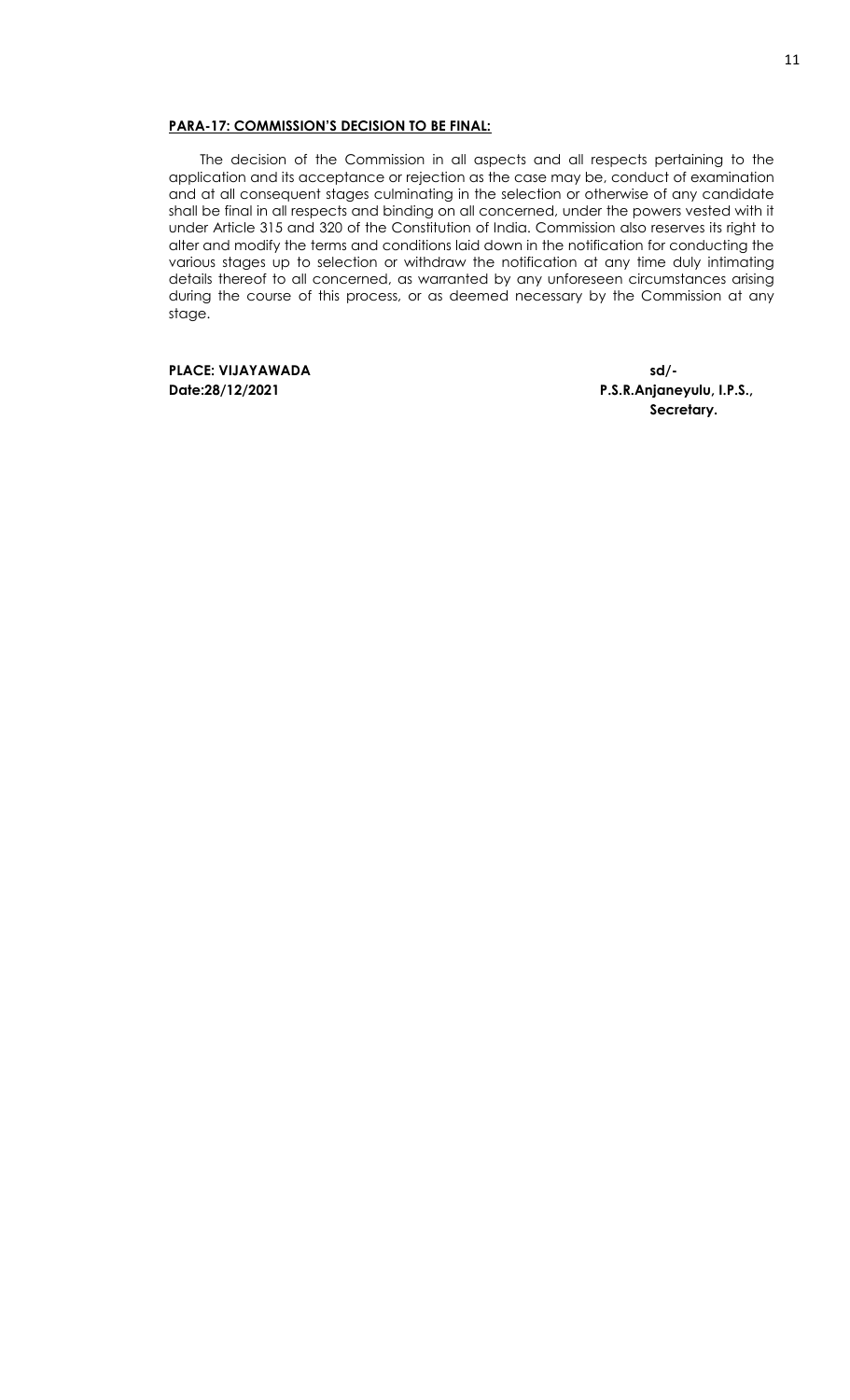#### **PARA-17: COMMISSION'S DECISION TO BE FINAL:**

The decision of the Commission in all aspects and all respects pertaining to the application and its acceptance or rejection as the case may be, conduct of examination and at all consequent stages culminating in the selection or otherwise of any candidate shall be final in all respects and binding on all concerned, under the powers vested with it under Article 315 and 320 of the Constitution of India. Commission also reserves its right to alter and modify the terms and conditions laid down in the notification for conducting the various stages up to selection or withdraw the notification at any time duly intimating details thereof to all concerned, as warranted by any unforeseen circumstances arising during the course of this process, or as deemed necessary by the Commission at any stage.

**PLACE: VIJAYAWADA sd/-**

**Date:28/12/2021 P.S.R.Anjaneyulu, I.P.S., Secretary.**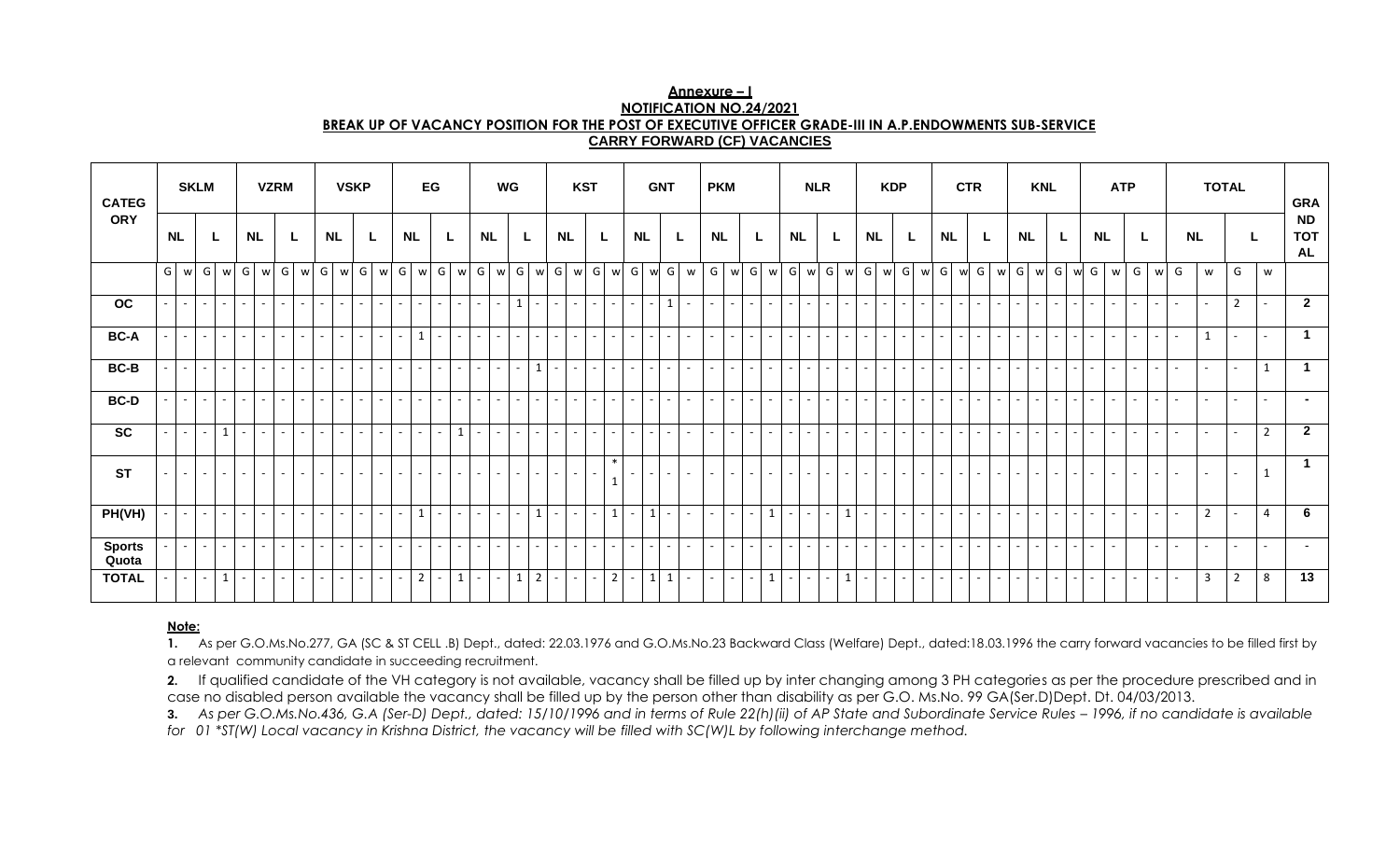| Annexure – I                                                                                           |
|--------------------------------------------------------------------------------------------------------|
| NOTIFICATION NO.24/2021                                                                                |
| BREAK UP OF VACANCY POSITION FOR THE POST OF EXECUTIVE OFFICER GRADE-III IN A.P.ENDOWMENTS SUB-SERVICE |
| <b>CARRY FORWARD (CF) VACANCIES</b>                                                                    |

| <b>CATEG</b>           | <b>SKLM</b><br><b>VZRM</b> |                 |                              |                          |                           | <b>VSKP</b>              |                 |        | EG                       |          |                          |                 | WG             |                          |                 |           | <b>KST</b>               |                          |                |                          | <b>GNT</b>      |        |                                 | <b>PKM</b> |                |              |                 |           | <b>NLR</b>      |                |                          |           | <b>KDP</b>                |                |                 |                          | <b>CTR</b> |                          |                 |                                    | <b>KNL</b> |                          |                          |           | <b>ATP</b>               |                |                          |                          | <b>TOTAL</b>   |              |                          | <b>GRA</b>     |  |                |                |                                      |
|------------------------|----------------------------|-----------------|------------------------------|--------------------------|---------------------------|--------------------------|-----------------|--------|--------------------------|----------|--------------------------|-----------------|----------------|--------------------------|-----------------|-----------|--------------------------|--------------------------|----------------|--------------------------|-----------------|--------|---------------------------------|------------|----------------|--------------|-----------------|-----------|-----------------|----------------|--------------------------|-----------|---------------------------|----------------|-----------------|--------------------------|------------|--------------------------|-----------------|------------------------------------|------------|--------------------------|--------------------------|-----------|--------------------------|----------------|--------------------------|--------------------------|----------------|--------------|--------------------------|----------------|--|----------------|----------------|--------------------------------------|
| <b>ORY</b>             |                            | <b>NL</b>       |                              |                          | <b>NL</b>                 |                          |                 |        | <b>NL</b>                |          |                          | <b>NL</b>       |                |                          |                 | <b>NL</b> |                          | L                        |                | <b>NL</b>                |                 |        |                                 | <b>NL</b>  |                |              |                 | <b>NL</b> |                 | L              |                          | <b>NL</b> |                           | L              |                 | <b>NL</b>                |            | L                        |                 | <b>NL</b>                          |            | L                        |                          | <b>NL</b> |                          |                | <b>NL</b>                |                          |                |              |                          | <b>NL</b>      |  | L              |                | <b>ND</b><br><b>TOT</b><br><b>AL</b> |
|                        | G                          | w               | G                            | w                        | G<br>W                    | G                        | W               |        | G w                      | G        | W                        |                 | G w            | G                        | w               | G         | w                        | G                        | $w$ G          |                          | w               |        | $G \mid w \mid G \mid w \mid G$ |            |                |              | W               | G         | W               |                |                          |           | $G$ w $G$ w               | G              | w               | G                        | $w$ G      |                          | w               | G                                  | $w$ G      | $\mathsf{w}$             |                          | G w       | G                        |                | w G                      | W                        | G              | $\mathsf{w}$ | G                        | W              |  | G              | W              |                                      |
| oc                     |                            | $\sim$ 10 $\,$  | $\mathcal{L}^{\pm}$          | $\sim$                   | $\sim$<br>$\sim$ 10 $\,$  | $\sim$                   | $\sim$ $-$      | $\sim$ | $\sim$                   | $\sim$   | $\sim$                   | $\sim$ 10 $\pm$ | $\sim$         | $\sim$                   | $\sim$          | $\sim$    | $\sim$                   | $\mathbf{1}$             | $\sim$         | $\sim$                   | $\sim$ $-$      | $\sim$ | $\sim$                          | $\sim$ 1   | $\overline{a}$ | $\mathbf{1}$ | $\sim$          | $\sim$    | $\sim$          | $\sim$         | $\sim$ $-$               | $\sim$    | $\mathbb{Z}^{\mathbb{Z}}$ | $\sim$         | $\sim$ 10 $\pm$ | $\sim$                   | $\sim$     | $\sim$                   | $\sim$ 10 $\pm$ | $\sim$                             | $\sim$     | $\omega$ .<br>$\sim$     | $\sim$                   | $\sim$    | $\sim$                   | $\sim$         | $\sim$                   | $\sim$                   | $\sim$         | $\sim$       | $\overline{\phantom{a}}$ | $\sim$         |  | $\overline{2}$ | $\sim$         | $\overline{2}$                       |
| <b>BC-A</b>            |                            |                 | $\mathcal{L}_{\mathrm{eff}}$ | $\overline{\phantom{a}}$ | $\sim$                    | $\overline{\phantom{a}}$ | $\sim$          | $\sim$ | $\sim$                   | $\sim$   | $\sim$                   |                 | $\mathbf{1}$   | $\sim$                   | $\sim$ $-$      | $\sim$    | $\sim$                   | $\sim$                   | $\sim$         | $\overline{\phantom{a}}$ | $\sim$          | $\sim$ | $\overline{a}$                  |            | $\sim$         | $\sim$       | $\sim$          | $\sim$    |                 | $\sim$         | $\sim$                   |           | ÷.                        | $\overline{a}$ |                 | $\blacksquare$           | $\sim$     | $\sim$                   |                 | $\sim$                             | $\sim$     | $\overline{\phantom{a}}$ | $\sim$                   |           | $\sim$                   | $\sim$         | $\sim$                   | $\sim$                   | $\sim$         | $\sim$       | $\sim$                   | $\mathbf{1}$   |  | $\sim$         | $\sim$         | $\mathbf{1}$                         |
| $BC-B$                 |                            | $\sim$ 10 $\,$  | $\mathcal{L}_{\mathrm{eff}}$ | $\sim$                   | $\sim$<br>$\sim$ 10 $\pm$ | $\sim$                   | $\sim$ 10 $\pm$ | $\sim$ | $\sim$ $-$               | $\sim$   | $\sim$                   | $\sim$          | $\sim$         | $\sim$                   | $\sim$ 10 $\pm$ | $\sim$    | $\sim$                   | $\sim$                   | $\mathbf{1}$   | $\overline{\phantom{a}}$ | $\sim$ 10 $\pm$ | $\sim$ | $\sim$                          |            | $\sim$         | $\sim$       | $\sim$          | $\sim$    |                 | $\sim$         | $\sim$                   |           | $\sim$                    | $\sim$         | $\sim$          | $\sim$                   | $\sim$     | $\sim$                   |                 | $\sim$                             | $\sim$     | $\omega$ .<br>$\sim$     | $\sim$                   | $\sim$    | $\sim$                   | $\sim$         | $\sim$                   | $\sim$                   | $\sim$         | $\sim$       | $\overline{\phantom{a}}$ | $\sim$         |  | $\sim$         | $\mathbf{1}$   | 1                                    |
| <b>BC-D</b>            |                            |                 | $\sim$                       | $\overline{\phantom{a}}$ | $\sim$                    | $\sim$                   | $\sim$          | $\sim$ | $\blacksquare$           | $\omega$ | $\sim$                   |                 | $\sim$         | $\overline{\phantom{a}}$ | $\sim$          | $\sim$    | $\sim$                   | $\overline{\phantom{a}}$ | $\sim$         | $\blacksquare$           | $\sim$          | $\sim$ | $\sim$                          |            | $\sim$         | $\sim$       | $\sim$          | $\sim$    |                 | $\sim$         | $\sim$                   |           | $\sim$                    | $\sim$         |                 | $\blacksquare$           | $\sim$     | $\sim$                   |                 | $\sim$<br>$\sim$                   | $\sim$     | $\sim$                   | $\overline{a}$           |           | $\sim$                   | $\sim$         | $\sim$                   | $\sim$                   | $\sim$ $-$     | $\sim$       | $\sim$                   | $\sim$         |  | $\sim$         | $\sim$         | $\sim$                               |
| <b>SC</b>              |                            |                 | $\sim$                       | $\mathbf{1}$             | $\sim$                    | $\overline{\phantom{a}}$ | $\sim$          | $\sim$ |                          | $\sim$   | $\sim$                   |                 | $\sim$         | $\sim$                   | $\mathbf{1}$    | $\sim$    | $\sim$                   | $\sim$                   | $\sim$         | $\overline{\phantom{a}}$ | $\sim$          | $\sim$ | $\sim$                          |            | $\sim$         | $\sim$       | $\sim$          | $\sim$    |                 | $\sim$         | $\sim$                   |           | $\sim$                    | $\sim$         |                 | $\sim$                   | $\sim$     | $\sim$                   |                 | $\sim$<br>$\sim$                   | $\sim$     | $\sim$                   | $\sim$                   |           | $\sim$                   | $\sim$         | $\sim$                   | $\blacksquare$           | $\sim$ $-$     | $\sim$       |                          | $\sim$         |  | $\sim$         | $\overline{2}$ | $\overline{2}$                       |
| <b>ST</b>              |                            |                 | $\sim$                       |                          | $\sim$                    |                          |                 |        |                          |          | $\overline{\phantom{a}}$ |                 |                |                          |                 |           | $\overline{\phantom{a}}$ |                          |                |                          |                 |        | $\ast$                          |            |                | $\sim$       | $\sim$ $-$      |           |                 |                | $\overline{\phantom{a}}$ |           | $\sim$                    |                |                 |                          |            |                          |                 |                                    |            | $\sim$                   |                          |           | $\overline{\phantom{0}}$ | $\overline{a}$ | $\overline{\phantom{0}}$ |                          | $\sim$ 10 $\,$ | $\sim$       |                          |                |  |                | $\mathbf{1}$   | $\mathbf 1$                          |
| PH(VH)                 |                            |                 | $\sim$                       | $\overline{a}$           | $\sim$                    | $\overline{\phantom{a}}$ | - 1             | $\sim$ |                          | $\sim$   | $\sim$                   |                 | $\mathbf{1}$   | $\overline{a}$           | $\sim$          | $\sim$    | $\sim$                   | $\overline{\phantom{a}}$ | $\mathbf{1}$   | $\overline{\phantom{a}}$ | $\sim$ $-$      | $\sim$ |                                 |            | $1\vert$       | $\sim$       | $\sim$          | $\sim$    |                 | $\sim$         | $1 \vert$                |           | ÷.                        | $\overline{a}$ |                 | $\overline{\phantom{a}}$ | $\sim$     | $\overline{\phantom{a}}$ |                 | $\sim$                             | $\sim$     | $\blacksquare$           | $\overline{a}$           |           | $\sim$                   | $\sim$         | $\sim$                   | $\sim$                   | $\sim$         | $\sim$       |                          | $\overline{2}$ |  | $\sim$         | $\overline{4}$ | 6                                    |
| <b>Sports</b><br>Quota |                            | $\sim$ 10 $\pm$ | $\sim$ $^{-1}$               | $\sim$                   | $\sim$<br>$\sim$ 1        | $\sim$                   | $\sim$ 10 $\pm$ | $\sim$ | $\sim$ 1                 | $\sim$   | $\sim$                   | $\sim$ 10 $\pm$ | $\sim$         | $\sim$                   | $\sim$ 10 $\pm$ | $\sim$    | $\sim$                   | $\sim$                   | $\sim$         | $\sim$                   | $\sim$ 10 $\pm$ | $\sim$ | $\sim$                          | $\sim$     | $\overline{a}$ | $\sim$       | $\sim$ 10 $\pm$ | $\sim$    | $\sim$ 10 $\pm$ | $\sim$ $^{-1}$ | $\sim$                   |           | $\sim$                    | $\sim$         | $\sim$ 10 $\,$  | $\sim$                   | $\sim$     | $\sim$                   | $\sim$ 10 $\pm$ | $\sim$                             | $\sim$     | $\omega$ .<br>$\sim$     | $\sim$                   | $\sim$    | $\sim$                   | $\sim$         | $\sim$                   | $\sim$                   |                | $\sim$       | $\overline{\phantom{a}}$ | $\sim$         |  | $\sim$         | $\sim$         | $\overline{a}$                       |
| <b>TOTAL</b>           |                            |                 | $\sim$                       | $\mathbf{1}$             | $\sim$                    | $\overline{\phantom{a}}$ | н.              | $\sim$ | $\overline{\phantom{a}}$ | $\sim$   | $\sim$                   |                 | $\overline{2}$ | $\sim$                   | $\mathbf{1}$    | $\sim$    | $\overline{\phantom{a}}$ | $\mathbf{1}$             | $\overline{2}$ | $\overline{\phantom{a}}$ | $\sim$ 10 $\pm$ | $\sim$ | $\overline{2}$                  |            | $1\vert$       | $\mathbf{1}$ | $\sim$ $-$      | $\sim$    |                 | $\sim$         | 1                        |           | $\sim$                    | $\overline{a}$ |                 | $\blacksquare$           | $\sim$     | $\blacksquare$           | $\sim$          | $\sim$<br>$\overline{\phantom{a}}$ | $\sim$     | $\sim$                   | $\overline{\phantom{a}}$ |           | $\sim$                   | $\sim$         | $\sim$                   | $\overline{\phantom{a}}$ | $\sim$         | $\sim$       |                          | 3              |  | $\overline{2}$ | 8              | $\overline{13}$                      |

#### **Note:**

**1.** As per G.O.Ms.No.277, GA (SC & ST CELL .B) Dept., dated: 22.03.1976 and G.O.Ms.No.23 Backward Class (Welfare) Dept., dated:18.03.1996 the carry forward vacancies to be filled first by a relevant community candidate in succeeding recruitment.

2. If qualified candidate of the VH category is not available, vacancy shall be filled up by inter changing among 3 PH categories as per the procedure prescribed and in case no disabled person available the vacancy shall be filled up by the person other than disability as per G.O. Ms.No. 99 GA(Ser.D)Dept. Dt. 04/03/2013.

**3.** As per G.O.Ms.No.436, G.A (Ser-D) Dept., dated: 15/10/1996 and in terms of Rule 22(h)(ii) of AP State and Subordinate Service Rules - 1996, if no candidate is available for 01 \*ST(W) Local vacancy in Krishna District, the vacancy will be filled with SC(W)L by following interchange method.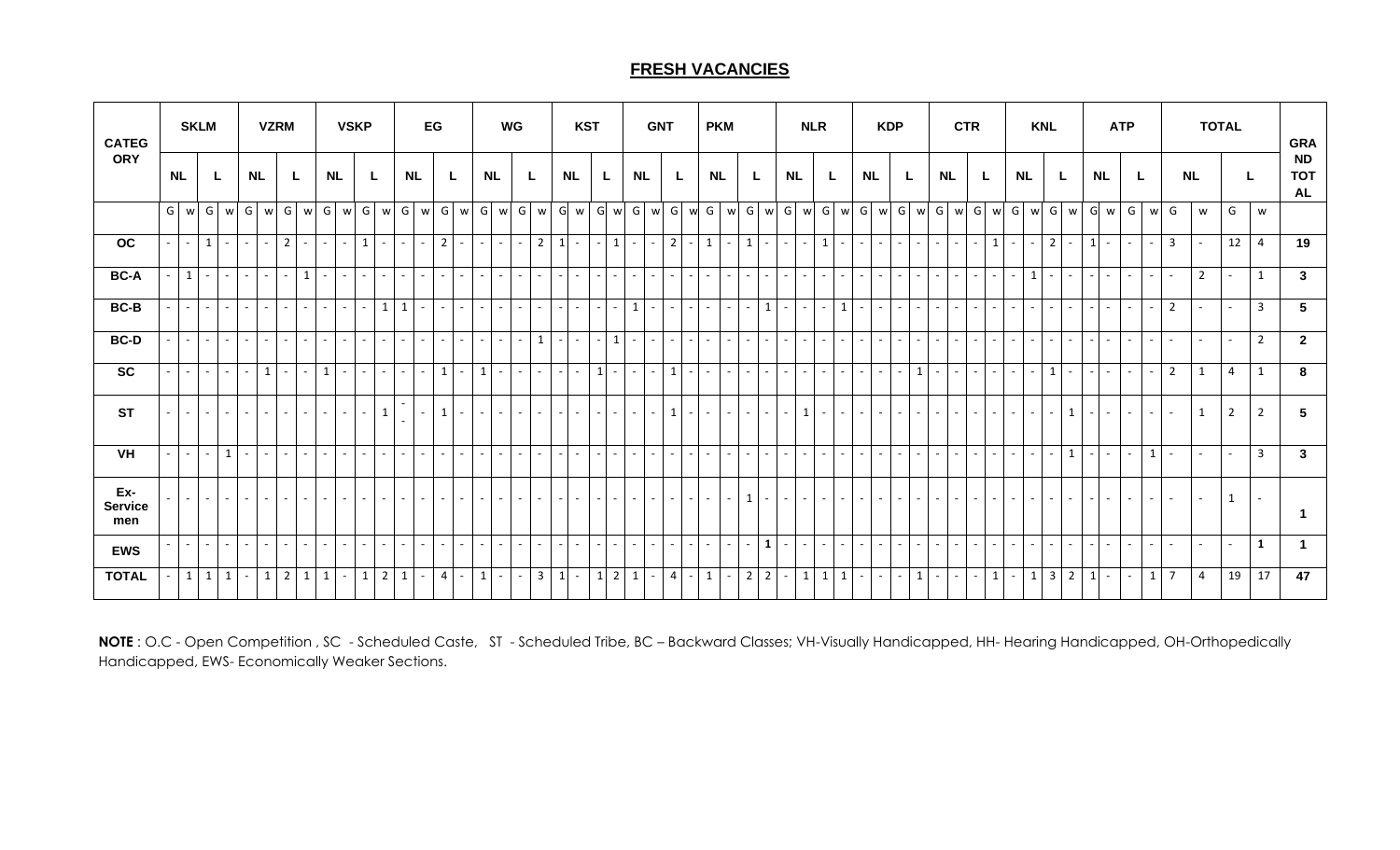# **FRESH VACANCIES**

| <b>CATEG</b>                 |           | <b>SKLM</b>  |            |              |           | <b>VZRM</b>              |                               |                 |                           | <b>VSKP</b>              |                |            |                          | EG             |        |                 |                             | WG     |                 |                | <b>KST</b> |             |                     |                        | <b>GNT</b>     |         |                          | <b>PKM</b>               |                |                          |           | <b>NLR</b>        |                     |              |                          | <b>KDP</b>      |                  |                          |           | <b>CTR</b>                         |                          |           |              | <b>KNL</b>              |                |                          |                | <b>ATP</b> |                          |                  |                          | <b>TOTAL</b> |                |                                      | <b>GRA</b>      |
|------------------------------|-----------|--------------|------------|--------------|-----------|--------------------------|-------------------------------|-----------------|---------------------------|--------------------------|----------------|------------|--------------------------|----------------|--------|-----------------|-----------------------------|--------|-----------------|----------------|------------|-------------|---------------------|------------------------|----------------|---------|--------------------------|--------------------------|----------------|--------------------------|-----------|-------------------|---------------------|--------------|--------------------------|-----------------|------------------|--------------------------|-----------|------------------------------------|--------------------------|-----------|--------------|-------------------------|----------------|--------------------------|----------------|------------|--------------------------|------------------|--------------------------|--------------|----------------|--------------------------------------|-----------------|
| <b>ORY</b>                   | <b>NL</b> |              |            |              | <b>NL</b> |                          | L                             |                 | <b>NL</b>                 |                          | L              |            | <b>NL</b>                |                | L.     |                 | <b>NL</b>                   |        |                 | <b>NL</b>      |            | L.          |                     | <b>NL</b>              |                |         |                          | <b>NL</b>                |                |                          | <b>NL</b> |                   |                     |              | NL                       |                 |                  |                          | <b>NL</b> | L                                  |                          | <b>NL</b> |              |                         |                | <b>NL</b>                |                |            |                          | <b>NL</b>        |                          | L.           |                | <b>ND</b><br><b>TOT</b><br><b>AL</b> |                 |
|                              | G I       | w            | G          | w            | G         | w                        | G                             |                 | w G w                     |                          |                | $G$ w $G$  | W                        | G              |        |                 |                             |        | $w$ G $w$ G $w$ |                |            |             |                     | G w G w G w G w G      |                |         |                          |                          | w G w          |                          |           |                   |                     | G w G w G w  |                          |                 | G w G            |                          |           | w G w                              |                          | G         | W            |                         | G w            |                          | G w            | G          |                          | w G              | w                        |              | G              | W                                    |                 |
| OC                           |           | $\sim$ $-$   | $1 \vert$  | $\sim$       | $\sim$    | $\overline{\phantom{a}}$ | $\overline{2}$<br>$\sim$      |                 | $\sim$<br>$\sim$ 10 $\pm$ | 1                        | $\sim$         | $\sim$     | $\sim$                   | $\overline{2}$ | $\sim$ | $\sim$ 1        | $\sim$                      | $\sim$ | $2^{\circ}$     | $1\vert$       | $\sim$     |             | $1 \vert$           | $\sim$<br>$\sim$       |                | $2$   - | 1                        | $\sim$                   | $1\vert$       | $\omega_{\rm{eff}}$      | $\sim$    | $\sim$ 1          | $\mathbf{1}$        | $\sim$       | $\sim$                   | $\sim$ $-$      | $\sim$<br>$\sim$ | $\sim$                   |           | $\sim$<br>$\sim$                   | $\vert$ 1                | $\sim$    | $\sim$       | $\overline{2}$          | $\sim$ 10 $\,$ | $\vert$ 1                | $\sim$         | $\sim$     | $\sim$                   | $\overline{3}$   | $\sim$                   |              | 12             | 4                                    | 19              |
| <b>BC-A</b>                  |           | $\mathbf{1}$ | $\sim$     | $\sim$       | $\sim$    | $\sim$ $^{-1}$           | $\sim$                        | $\mathbf{1}$    | $\sim$                    | $\sim$                   | $\sim$ 10 $\,$ | $\sim$     | $\sim$                   | $\sim$         | $\sim$ |                 | $\sim$                      | $\sim$ | $\sim$ .        | $\sim$         | $\sim$     |             |                     | $\sim$<br>$\sim$       | $\sim$         | $-1$    | $\sim$                   | $\overline{\phantom{a}}$ |                | $\sim$                   | $\sim$    |                   | $\mathcal{L}^{\pm}$ | $\sim$       | $\sim$                   | $\sim$          | $\sim$<br>$\sim$ |                          |           | $\sim$<br>$\overline{a}$           | $\sim$                   |           | $\mathbf{1}$ | $\sim$                  | $\sim$ $-$     | $\sim$                   | $\sim$         | $\sim$     | $\sim$                   | $\sim$           | $\overline{2}$           |              |                | 1                                    | $\mathbf{3}$    |
| <b>BC-B</b>                  |           | $\sim$       | $\sim$     | $\sim$       | $\sim$    | $\sim$                   | $\sim$<br>$\sim$              |                 | $\sim$                    | $\sim$                   |                | $1 \mid 1$ | $\sim$ $-$               | $\sim$         | $\sim$ | $\sim$          | $\sim$                      | $\sim$ | $\sim$          | $\sim$         | $\sim$     |             |                     | $\mathbf{1}$<br>$\sim$ | $\sim$ 1       | $-1$    | $\sim$                   | $\sim$                   | $\sim$         | $1\vert$                 | $\sim$    | $\sim$ $-$        | $\sim$              | $\mathbf{1}$ | $\sim$                   | $\sim$ 10 $\,$  | $\sim$<br>$\sim$ |                          |           | $\sim$<br>$\overline{\phantom{0}}$ | $\sim$                   |           | $\sim$       | $\sim$                  | $\sim$         | $\sim$                   | $\sim$         | $\sim$     | $\overline{\phantom{a}}$ | $\overline{2}$   | $\overline{\phantom{0}}$ |              |                | $\overline{3}$                       | $5\phantom{.0}$ |
| <b>BC-D</b>                  |           | $\sim$       | $\sim$     | $\sim$       | $\sim$    | $\sim$                   | $\sim$<br>$\sim$              |                 | $\sim$<br>$\sim$          | $\sim$                   | $\sim$         | $\sim$     | $\sim$                   | $\sim$         | $\sim$ | $\sim$ 10 $\pm$ | $\sim$                      | $\sim$ | 1               | $\sim$         | $\sim$     |             | $1\vert$            | $\sim$<br>$\sim$       | $\sim$         | $-1$    | $\sim$                   | $\overline{\phantom{a}}$ | $\sim$         | $\sim$                   | $\sim$    | $\sim$ 10 $\,$    | $\sim$              | $\sim$       | $\overline{\phantom{a}}$ | $\sim$          | $\sim$<br>$\sim$ | $\overline{\phantom{a}}$ |           | $\sim$<br>$\sim$                   | $\sim$                   |           | $\sim$       | $\sim$                  | $\sim$ 10 $\,$ | $\sim$                   | $\sim$         | $\sim$     | $\sim$                   | $\sim$           | $\sim$                   | $\sim$       |                | $\overline{2}$                       | $\mathbf{2}$    |
| <b>SC</b>                    |           | $\sim$       | $\sim$ $-$ | $\sim$       | $\sim$    | $\mathbf{1}$             | $\omega_{\rm{eff}}$<br>$\sim$ |                 | $1 \vert$<br>$\sim$       | $\sim$                   | $\sim$         | $\sim$     | $\sim$                   | $\mathbf{1}$   | $\sim$ | $1\vert$        | $\sim$                      | $\sim$ | $\sim$ 10 $\pm$ | $\sim$         | $\sim$     | $1 \vert -$ |                     | $\sim$<br>$\sim$       | 1 <sup>1</sup> | $-1$    | $\sim$                   | $\sim$                   | $\sim$ $-$     | $\omega$ .               | $\sim$    | $\sim$ 10 $\,$    | $\sim$              | $\sim$       | $\sim$                   | $\sim$ $-$      | $\sim$ $^{-1}$   | $1\vert$                 |           | $\sim$<br>$\sim$                   | $\sim$                   | $\sim$    | $\sim$       | $\mathbf{1}$            | $\sim$         | $\sim$                   | $\sim$         | $\sim$     | $\overline{a}$           | 2                | 1                        |              | $\overline{4}$ | 1                                    | 8               |
| <b>ST</b>                    |           |              | $\sim$     |              |           | $\sim$                   | $\sim$                        |                 | $\sim$                    | $\overline{\phantom{a}}$ | $\mathbf{1}$   |            |                          |                | $\sim$ |                 | ٠                           |        | $\sim$          |                |            |             |                     | $\sim$                 | $1\vert$       |         | $\overline{\phantom{a}}$ |                          |                | $\overline{\phantom{a}}$ |           | -1                | $\sim$              |              |                          |                 |                  |                          |           |                                    | $\overline{\phantom{a}}$ |           | $\sim$       |                         | $\mathbf{1}$   | $\overline{\phantom{a}}$ |                | $\sim$     |                          |                  | $\mathbf{1}$             |              | $2^{\circ}$    | $\overline{2}$                       | 5               |
| VH                           |           | $\sim$       | $\sim$     | $\mathbf{1}$ | $\sim$    | $\sim$                   | $\sim$<br>$\sim$              |                 | $\sim$                    | $\sim$                   | $\sim$ $-$     | $\sim$     | $\sim$                   | $\sim$         | $\sim$ |                 | $\sim$                      | $\sim$ | $\sim$ 10 $\pm$ | $\sim$         | $\sim$     |             |                     | $\sim$<br>$\sim$       | $\sim$ $-$     |         | $\equiv$                 | $\overline{\phantom{a}}$ | $\sim$         | $\sim$                   | $\sim$    |                   | $\sim$              | $\sim$       | $\overline{a}$           | $\sim$          | $\sim$<br>$\sim$ |                          |           | $\sim$<br>$\overline{\phantom{0}}$ | $\sim$                   | $\sim$    | $\sim$       | $\sim$                  | $\mathbf{1}$   | $\sim$                   | $\sim$         | $\sim$     | $\overline{1}$           |                  | $\sim$                   |              |                | $\overline{3}$                       | $\mathbf{3}$    |
| Ex-<br><b>Service</b><br>men |           |              | $\sim$     |              |           |                          | $\sim$                        |                 | $\sim$                    |                          |                |            | $\overline{\phantom{a}}$ |                |        |                 |                             |        | $\sim$          |                |            |             |                     | $\sim$                 |                |         | $\overline{\phantom{a}}$ |                          | $\mathbf{1}$   | $\sim$                   | $\sim$    |                   | $\sim$              | $\sim$       |                          |                 |                  |                          |           |                                    | $\overline{\phantom{a}}$ |           | $\sim$       |                         |                | $\sim$                   | $\overline{a}$ | $\sim$     | $\overline{\phantom{a}}$ |                  | $\sim$                   |              | $\mathbf{1}$   | $\sim$                               |                 |
| <b>EWS</b>                   |           | $\sim$ .     | $\sim$ 1   | $\sim$       | $\sim$    | $\sim$                   | $\sim$<br>$\sim$              | $\sim$          | $\sim$                    | $\sim$                   | $\sim$ 10 $\,$ | $\sim$     | $\sim$                   | $\sim$         | $\sim$ | $\sim$ $-$      | $\mathcal{L}_{\mathcal{A}}$ | $\sim$ | $\sim$ 10 $\pm$ | $\sim$         | $\sim$     |             |                     | $\sim$<br>$\sim$       | $\sim$ 1       | $-1$    | $\sim$                   | $\sim$                   |                | $1\vert$                 | $\sim$    | $\sim$ 10 $\,$    | $\sim$              | $\sim$       | $\sim$                   | $\sim$          | $\sim$<br>$\sim$ | $\sim$                   |           | $\sim$<br>$\sim$                   | $\sim$                   |           | $\sim$       | $\sim$                  | $\sim$         | $\sim$                   | $\sim$         | $\sim$     | $\sim$                   | ÷.               | $\sim$                   | $\sim$       |                | 1                                    | $\mathbf{1}$    |
| <b>TOTAL</b>                 |           | 1            | 1          | $\mathbf{1}$ | $\sim$    | $1\vert$                 | $\overline{2}$                | $1 \mid 1 \mid$ | $\omega$ .                | 1                        |                | $2 \mid 1$ | $\epsilon_{\rm c} = 0.1$ | $\overline{4}$ | $\sim$ | $1\vert$        | $\sim$                      | $\sim$ | 3 <sup>1</sup>  | 1 <sup>1</sup> | $\sim$     |             | $1 \quad 2 \quad 1$ | $\sim$                 |                |         | $4 - 1$                  | $\sim$                   | 2 <sup>1</sup> | $\overline{2}$           | $\sim$    | $1 \mid 1 \mid 1$ |                     |              | $\mathsf{I}$ .           | $\sim$ 10 $\pm$ | $\sim$ 1         | 1                        | $\sim$    | $\sim$<br>$\sim$                   | 1                        |           | $1 \mid$     | $\overline{\mathbf{3}}$ | $\overline{2}$ | $1\overline{ }$          | $\sim$         | $\sim$     |                          | $1 \overline{7}$ | 4                        |              | 19             | 17                                   | 47              |

**NOTE** : O.C - Open Competition , SC - Scheduled Caste, ST - Scheduled Tribe, BC – Backward Classes; VH-Visually Handicapped, HH- Hearing Handicapped, OH-Orthopedically Handicapped, EWS- Economically Weaker Sections.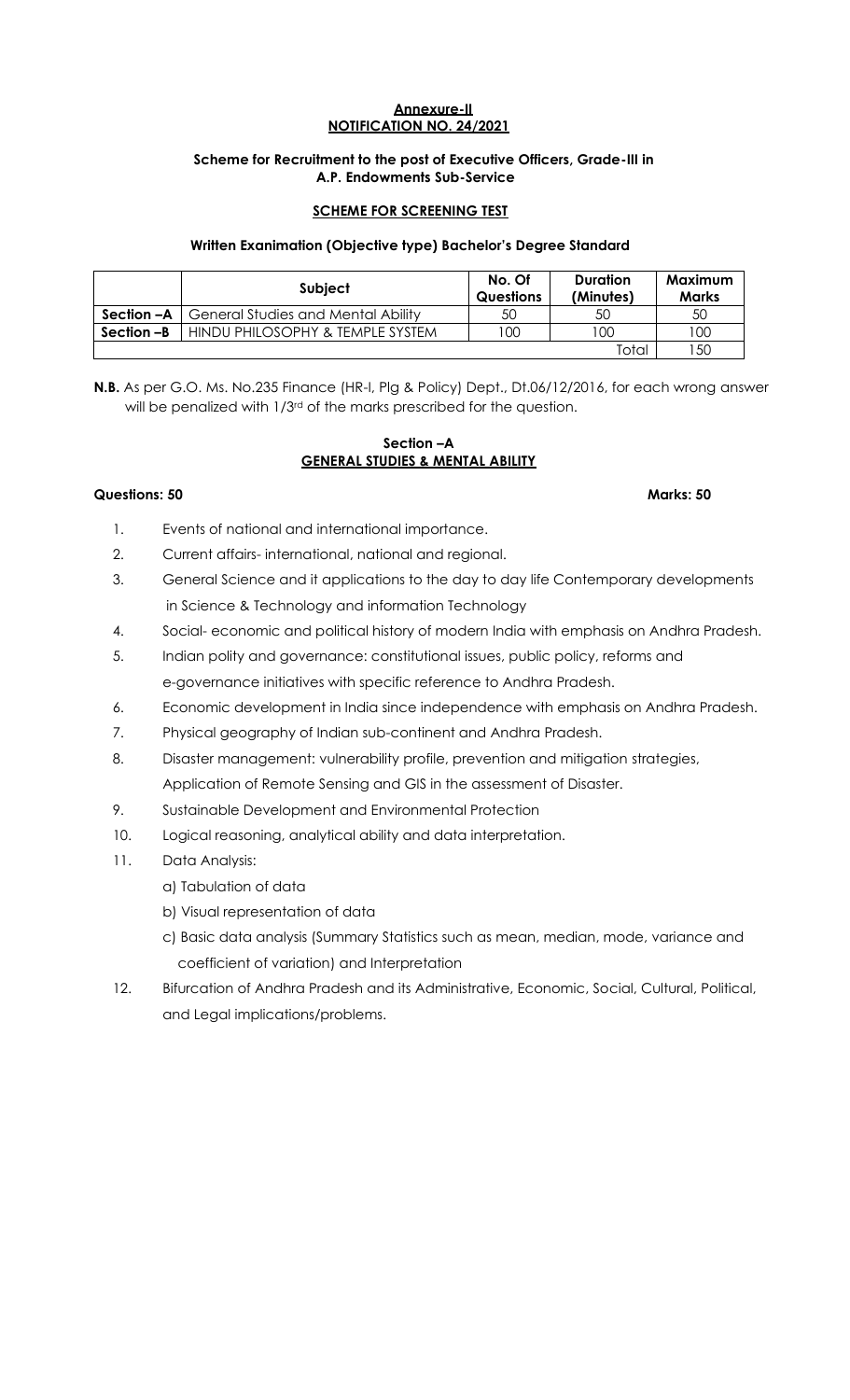# **Annexure-II NOTIFICATION NO. 24/2021**

# **Scheme for Recruitment to the post of Executive Officers, Grade-III in A.P. Endowments Sub-Service**

# **SCHEME FOR SCREENING TEST**

# **Written Exanimation (Objective type) Bachelor's Degree Standard**

|            | Subject                                   | No. Of<br><b>Questions</b> | <b>Duration</b><br>(Minutes) | Maximum<br><b>Marks</b> |
|------------|-------------------------------------------|----------------------------|------------------------------|-------------------------|
| Section –A | <b>General Studies and Mental Ability</b> | 50                         | 50                           | 50                      |
| Section -B | HINDU PHILOSOPHY & TEMPLE SYSTEM          | 100                        | 100                          | 100                     |
|            |                                           |                            | Total                        | 50                      |

**N.B.** As per G.O. Ms. No.235 Finance (HR-I, Plg & Policy) Dept., Dt.06/12/2016, for each wrong answer will be penalized with 1/3<sup>rd</sup> of the marks prescribed for the question.

# **Section –A GENERAL STUDIES & MENTAL ABILITY**

#### **Questions: 50 Marks: 50**

- 1. Events of national and international importance.
- 2. Current affairs- international, national and regional.
- 3. General Science and it applications to the day to day life Contemporary developments in Science & Technology and information Technology
- 4. Social- economic and political history of modern India with emphasis on Andhra Pradesh.
- 5. Indian polity and governance: constitutional issues, public policy, reforms and e-governance initiatives with specific reference to Andhra Pradesh.
- 6. Economic development in India since independence with emphasis on Andhra Pradesh.
- 7. Physical geography of Indian sub-continent and Andhra Pradesh.
- 8. Disaster management: vulnerability profile, prevention and mitigation strategies, Application of Remote Sensing and GIS in the assessment of Disaster.
- 9. Sustainable Development and Environmental Protection
- 10. Logical reasoning, analytical ability and data interpretation.
- 11. Data Analysis:
	- a) Tabulation of data
	- b) Visual representation of data
	- c) Basic data analysis (Summary Statistics such as mean, median, mode, variance and coefficient of variation) and Interpretation
- 12. Bifurcation of Andhra Pradesh and its Administrative, Economic, Social, Cultural, Political, and Legal implications/problems.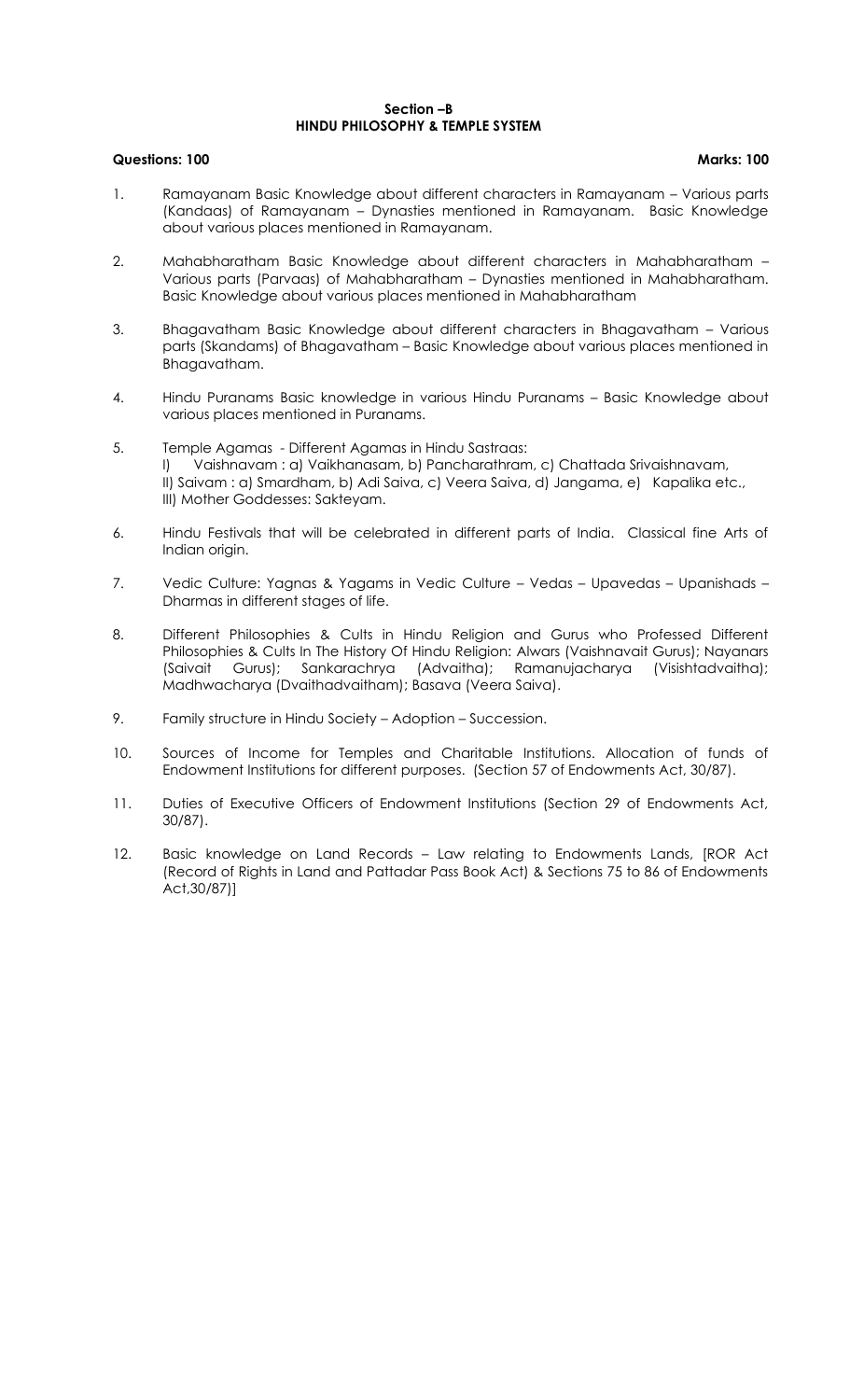#### **Section –B HINDU PHILOSOPHY & TEMPLE SYSTEM**

# **Questions: 100 Marks: 100**

- 1. Ramayanam Basic Knowledge about different characters in Ramayanam Various parts (Kandaas) of Ramayanam – Dynasties mentioned in Ramayanam. Basic Knowledge about various places mentioned in Ramayanam.
- 2. Mahabharatham Basic Knowledge about different characters in Mahabharatham Various parts (Parvaas) of Mahabharatham – Dynasties mentioned in Mahabharatham. Basic Knowledge about various places mentioned in Mahabharatham
- 3. Bhagavatham Basic Knowledge about different characters in Bhagavatham Various parts (Skandams) of Bhagavatham – Basic Knowledge about various places mentioned in Bhagavatham.
- 4. Hindu Puranams Basic knowledge in various Hindu Puranams Basic Knowledge about various places mentioned in Puranams.
- 5. Temple Agamas Different Agamas in Hindu Sastraas: I) Vaishnavam : a) Vaikhanasam, b) Pancharathram, c) Chattada Srivaishnavam, II) Saivam : a) Smardham, b) Adi Saiva, c) Veera Saiva, d) Jangama, e) Kapalika etc., III) Mother Goddesses: Sakteyam.
- 6. Hindu Festivals that will be celebrated in different parts of India. Classical fine Arts of Indian origin.
- 7. Vedic Culture: Yagnas & Yagams in Vedic Culture Vedas Upavedas Upanishads Dharmas in different stages of life.
- 8. Different Philosophies & Cults in Hindu Religion and Gurus who Professed Different Philosophies & Cults In The History Of Hindu Religion: Alwars (Vaishnavait Gurus); Nayanars (Saivait Gurus); Sankarachrya (Advaitha); Ramanujacharya (Visishtadvaitha); Madhwacharya (Dvaithadvaitham); Basava (Veera Saiva).
- 9. Family structure in Hindu Society Adoption Succession.
- 10. Sources of Income for Temples and Charitable Institutions. Allocation of funds of Endowment Institutions for different purposes. (Section 57 of Endowments Act, 30/87).
- 11. Duties of Executive Officers of Endowment Institutions (Section 29 of Endowments Act, 30/87).
- 12. Basic knowledge on Land Records Law relating to Endowments Lands, [ROR Act (Record of Rights in Land and Pattadar Pass Book Act) & Sections 75 to 86 of Endowments Act,30/87)]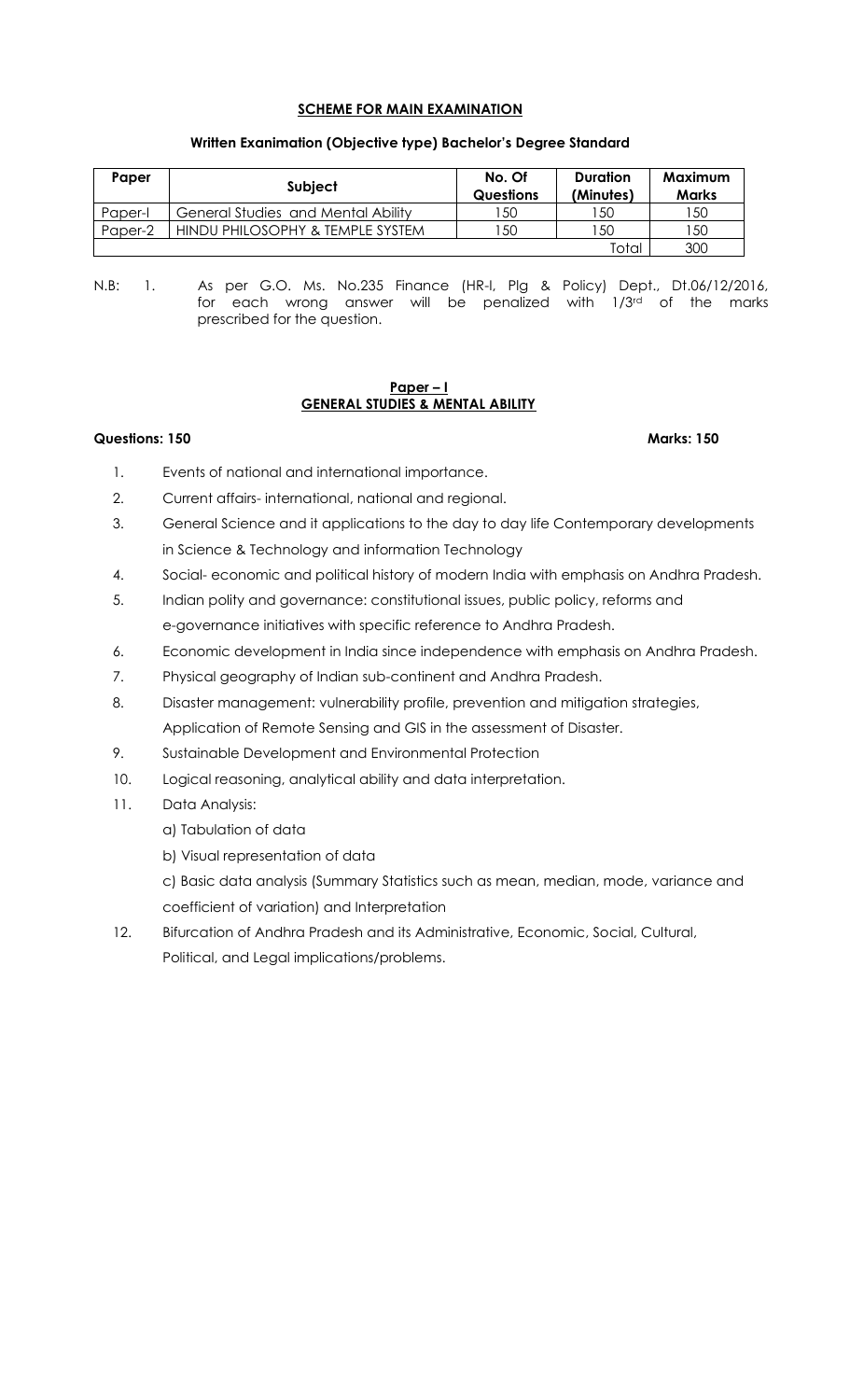# **SCHEME FOR MAIN EXAMINATION**

| Paper   | <b>Subject</b>                     | No. Of<br><b>Questions</b> | Duration<br>(Minutes) | Maximum<br><b>Marks</b> |
|---------|------------------------------------|----------------------------|-----------------------|-------------------------|
| Paper-I | General Studies and Mental Ability | 150                        | l 50                  | 50                      |
| Paper-2 | HINDU PHILOSOPHY & TEMPLE SYSTEM   | 50                         | 50                    | 50                      |
|         |                                    |                            | Total                 | 300                     |

#### **Written Exanimation (Objective type) Bachelor's Degree Standard**

N.B: 1. As per G.O. Ms. No.235 Finance (HR-I, Plg & Policy) Dept., Dt.06/12/2016, for each wrong answer will be penalized with  $1/3<sup>rd</sup>$  of the marks prescribed for the question.

#### **Paper – I GENERAL STUDIES & MENTAL ABILITY**

#### **Questions: 150 Marks: 150**

- 1. Events of national and international importance.
- 2. Current affairs- international, national and regional.
- 3. General Science and it applications to the day to day life Contemporary developments in Science & Technology and information Technology
- 4. Social- economic and political history of modern India with emphasis on Andhra Pradesh.
- 5. Indian polity and governance: constitutional issues, public policy, reforms and e-governance initiatives with specific reference to Andhra Pradesh.
- 6. Economic development in India since independence with emphasis on Andhra Pradesh.
- 7. Physical geography of Indian sub-continent and Andhra Pradesh.
- 8. Disaster management: vulnerability profile, prevention and mitigation strategies, Application of Remote Sensing and GIS in the assessment of Disaster.
- 9. Sustainable Development and Environmental Protection
- 10. Logical reasoning, analytical ability and data interpretation.
- 11. Data Analysis:
	- a) Tabulation of data
	- b) Visual representation of data

c) Basic data analysis (Summary Statistics such as mean, median, mode, variance and coefficient of variation) and Interpretation

12. Bifurcation of Andhra Pradesh and its Administrative, Economic, Social, Cultural, Political, and Legal implications/problems.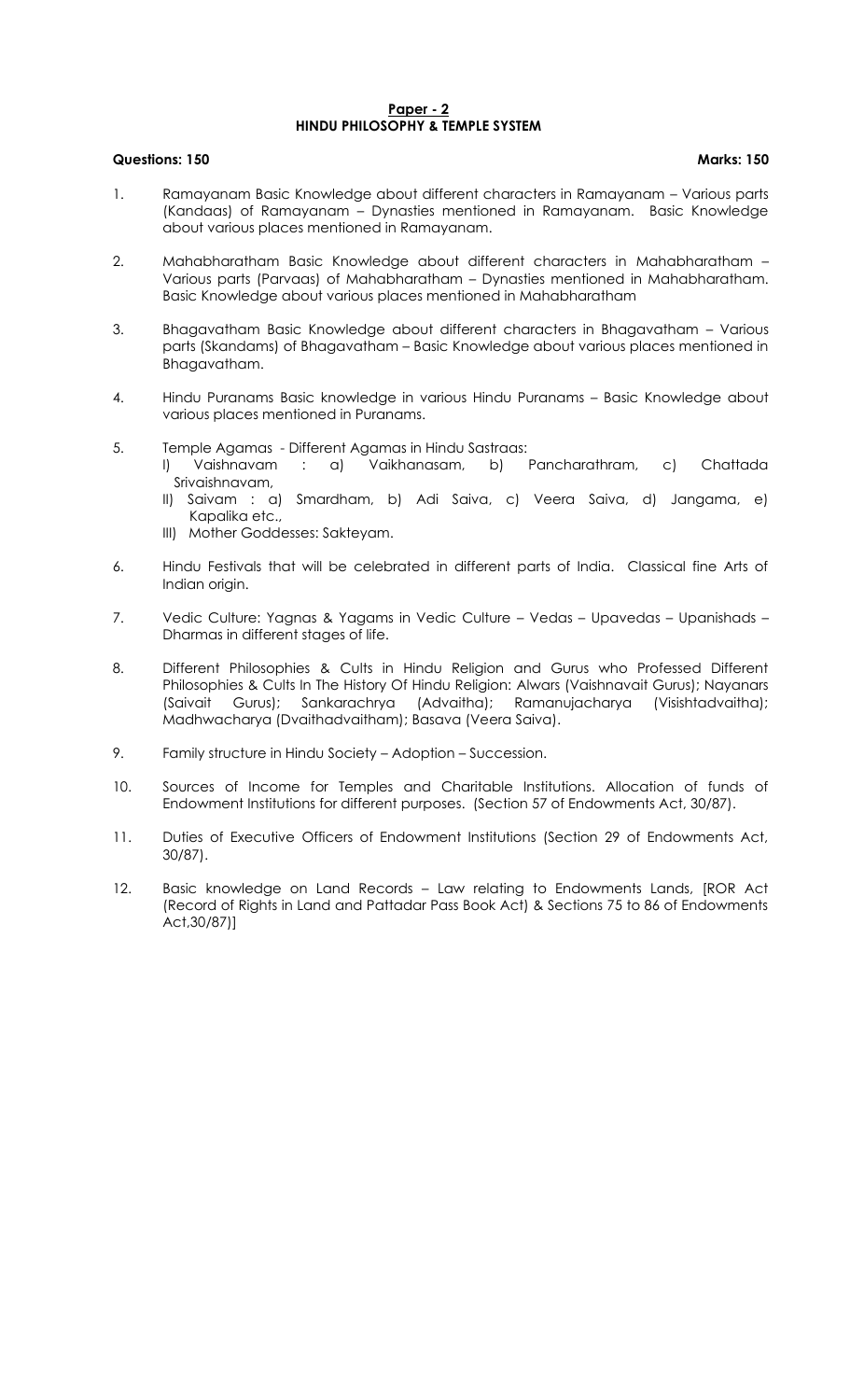#### **Paper - 2 HINDU PHILOSOPHY & TEMPLE SYSTEM**

# **Questions: 150 Marks: 150**

- 1. Ramayanam Basic Knowledge about different characters in Ramayanam Various parts (Kandaas) of Ramayanam – Dynasties mentioned in Ramayanam. Basic Knowledge about various places mentioned in Ramayanam.
- 2. Mahabharatham Basic Knowledge about different characters in Mahabharatham Various parts (Parvaas) of Mahabharatham – Dynasties mentioned in Mahabharatham. Basic Knowledge about various places mentioned in Mahabharatham
- 3. Bhagavatham Basic Knowledge about different characters in Bhagavatham Various parts (Skandams) of Bhagavatham – Basic Knowledge about various places mentioned in Bhagavatham.
- 4. Hindu Puranams Basic knowledge in various Hindu Puranams Basic Knowledge about various places mentioned in Puranams.
- 5. Temple Agamas Different Agamas in Hindu Sastraas:
	- I) Vaishnavam : a) Vaikhanasam, b) Pancharathram, c) Chattada Srivaishnavam,
	- II) Saivam : a) Smardham, b) Adi Saiva, c) Veera Saiva, d) Jangama, e) Kapalika etc.,
	- III) Mother Goddesses: Sakteyam.
- 6. Hindu Festivals that will be celebrated in different parts of India. Classical fine Arts of Indian origin.
- 7. Vedic Culture: Yagnas & Yagams in Vedic Culture Vedas Upavedas Upanishads Dharmas in different stages of life.
- 8. Different Philosophies & Cults in Hindu Religion and Gurus who Professed Different Philosophies & Cults In The History Of Hindu Religion: Alwars (Vaishnavait Gurus); Nayanars (Saivait Gurus); Sankarachrya (Advaitha); Ramanujacharya (Visishtadvaitha); Madhwacharya (Dvaithadvaitham); Basava (Veera Saiva).
- 9. Family structure in Hindu Society Adoption Succession.
- 10. Sources of Income for Temples and Charitable Institutions. Allocation of funds of Endowment Institutions for different purposes. (Section 57 of Endowments Act, 30/87).
- 11. Duties of Executive Officers of Endowment Institutions (Section 29 of Endowments Act, 30/87).
- 12. Basic knowledge on Land Records Law relating to Endowments Lands, [ROR Act (Record of Rights in Land and Pattadar Pass Book Act) & Sections 75 to 86 of Endowments Act,30/87)]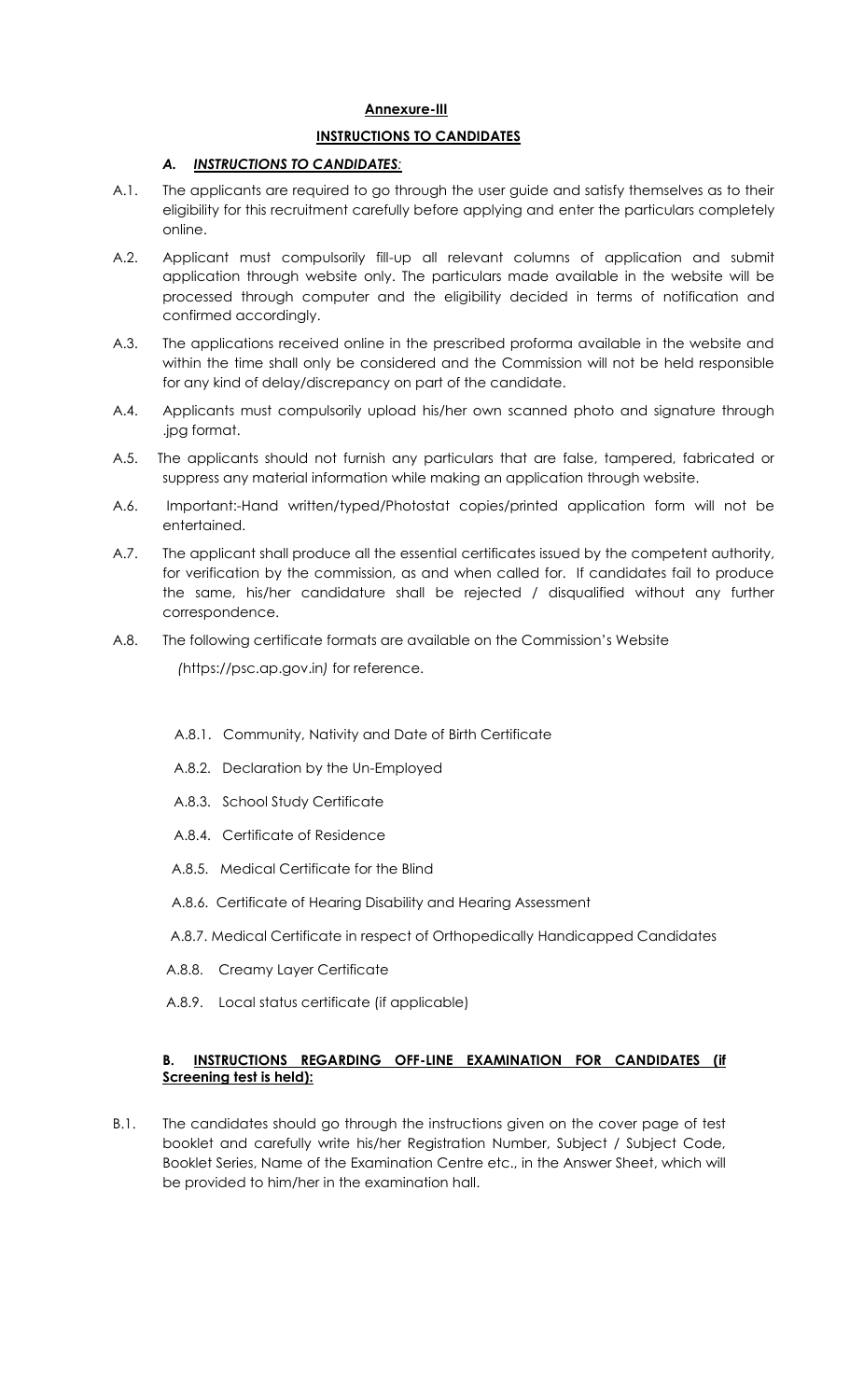# **Annexure-III**

# **INSTRUCTIONS TO CANDIDATES**

# *A. INSTRUCTIONS TO CANDIDATES:*

- A.1. The applicants are required to go through the user guide and satisfy themselves as to their eligibility for this recruitment carefully before applying and enter the particulars completely online.
- A.2. Applicant must compulsorily fill-up all relevant columns of application and submit application through website only. The particulars made available in the website will be processed through computer and the eligibility decided in terms of notification and confirmed accordingly.
- A.3. The applications received online in the prescribed proforma available in the website and within the time shall only be considered and the Commission will not be held responsible for any kind of delay/discrepancy on part of the candidate.
- A.4. Applicants must compulsorily upload his/her own scanned photo and signature through .jpg format.
- A.5. The applicants should not furnish any particulars that are false, tampered, fabricated or suppress any material information while making an application through website.
- A.6. Important:-Hand written/typed/Photostat copies/printed application form will not be entertained.
- A.7. The applicant shall produce all the essential certificates issued by the competent authority, for verification by the commission, as and when called for. If candidates fail to produce the same, his/her candidature shall be rejected / disqualified without any further correspondence.
- A.8. The following certificate formats are available on the Commission's Website  *(*https://psc.ap.gov.in*)* for reference.
	- A.8.1. Community, Nativity and Date of Birth Certificate
	- A.8.2. Declaration by the Un-Employed
	- A.8.3. School Study Certificate
	- A.8.4. Certificate of Residence
	- A.8.5. Medical Certificate for the Blind
	- A.8.6. Certificate of Hearing Disability and Hearing Assessment
	- A.8.7. Medical Certificate in respect of Orthopedically Handicapped Candidates
	- A.8.8. Creamy Layer Certificate
	- A.8.9. Local status certificate (if applicable)

# **B. INSTRUCTIONS REGARDING OFF-LINE EXAMINATION FOR CANDIDATES (if Screening test is held):**

B.1. The candidates should go through the instructions given on the cover page of test booklet and carefully write his/her Registration Number, Subject / Subject Code, Booklet Series, Name of the Examination Centre etc., in the Answer Sheet, which will be provided to him/her in the examination hall.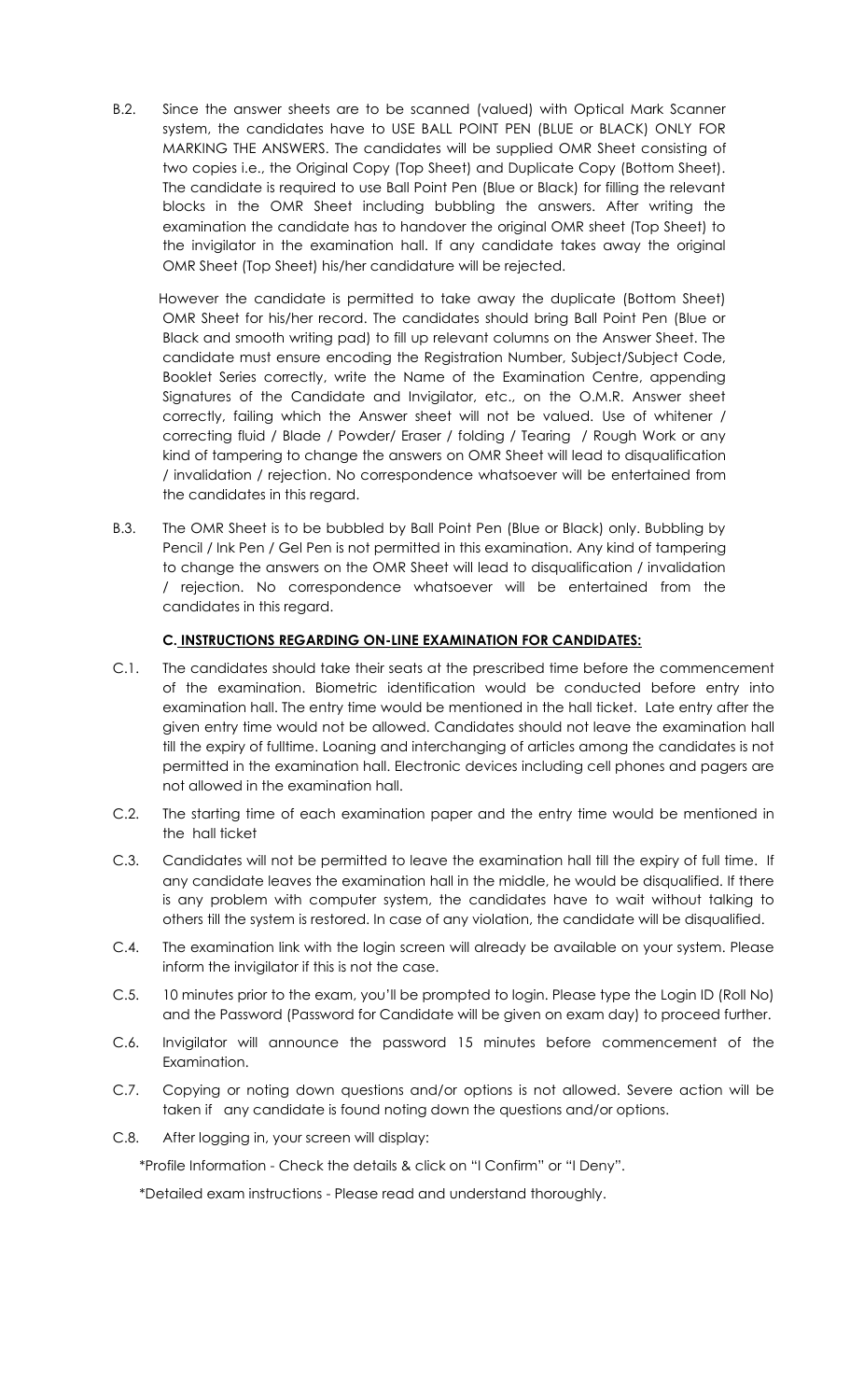B.2. Since the answer sheets are to be scanned (valued) with Optical Mark Scanner system, the candidates have to USE BALL POINT PEN (BLUE or BLACK) ONLY FOR MARKING THE ANSWERS. The candidates will be supplied OMR Sheet consisting of two copies i.e., the Original Copy (Top Sheet) and Duplicate Copy (Bottom Sheet). The candidate is required to use Ball Point Pen (Blue or Black) for filling the relevant blocks in the OMR Sheet including bubbling the answers. After writing the examination the candidate has to handover the original OMR sheet (Top Sheet) to the invigilator in the examination hall. If any candidate takes away the original OMR Sheet (Top Sheet) his/her candidature will be rejected.

 However the candidate is permitted to take away the duplicate (Bottom Sheet) OMR Sheet for his/her record. The candidates should bring Ball Point Pen (Blue or Black and smooth writing pad) to fill up relevant columns on the Answer Sheet. The candidate must ensure encoding the Registration Number, Subject/Subject Code, Booklet Series correctly, write the Name of the Examination Centre, appending Signatures of the Candidate and Invigilator, etc., on the O.M.R. Answer sheet correctly, failing which the Answer sheet will not be valued. Use of whitener / correcting fluid / Blade / Powder/ Eraser / folding / Tearing / Rough Work or any kind of tampering to change the answers on OMR Sheet will lead to disqualification / invalidation / rejection. No correspondence whatsoever will be entertained from the candidates in this regard.

B.3. The OMR Sheet is to be bubbled by Ball Point Pen (Blue or Black) only. Bubbling by Pencil / Ink Pen / Gel Pen is not permitted in this examination. Any kind of tampering to change the answers on the OMR Sheet will lead to disqualification / invalidation / rejection. No correspondence whatsoever will be entertained from the candidates in this regard.

# **C. INSTRUCTIONS REGARDING ON-LINE EXAMINATION FOR CANDIDATES:**

- C.1. The candidates should take their seats at the prescribed time before the commencement of the examination. Biometric identification would be conducted before entry into examination hall. The entry time would be mentioned in the hall ticket. Late entry after the given entry time would not be allowed. Candidates should not leave the examination hall till the expiry of fulltime. Loaning and interchanging of articles among the candidates is not permitted in the examination hall. Electronic devices including cell phones and pagers are not allowed in the examination hall.
- C.2. The starting time of each examination paper and the entry time would be mentioned in the hall ticket
- C.3. Candidates will not be permitted to leave the examination hall till the expiry of full time. If any candidate leaves the examination hall in the middle, he would be disqualified. If there is any problem with computer system, the candidates have to wait without talking to others till the system is restored. In case of any violation, the candidate will be disqualified.
- C.4. The examination link with the login screen will already be available on your system. Please inform the invigilator if this is not the case.
- C.5. 10 minutes prior to the exam, you'll be prompted to login. Please type the Login ID (Roll No) and the Password (Password for Candidate will be given on exam day) to proceed further.
- C.6. Invigilator will announce the password 15 minutes before commencement of the Examination.
- C.7. Copying or noting down questions and/or options is not allowed. Severe action will be taken if any candidate is found noting down the questions and/or options.
- C.8. After logging in, your screen will display:

\*Profile Information - Check the details & click on "I Confirm" or "I Deny".

\*Detailed exam instructions - Please read and understand thoroughly.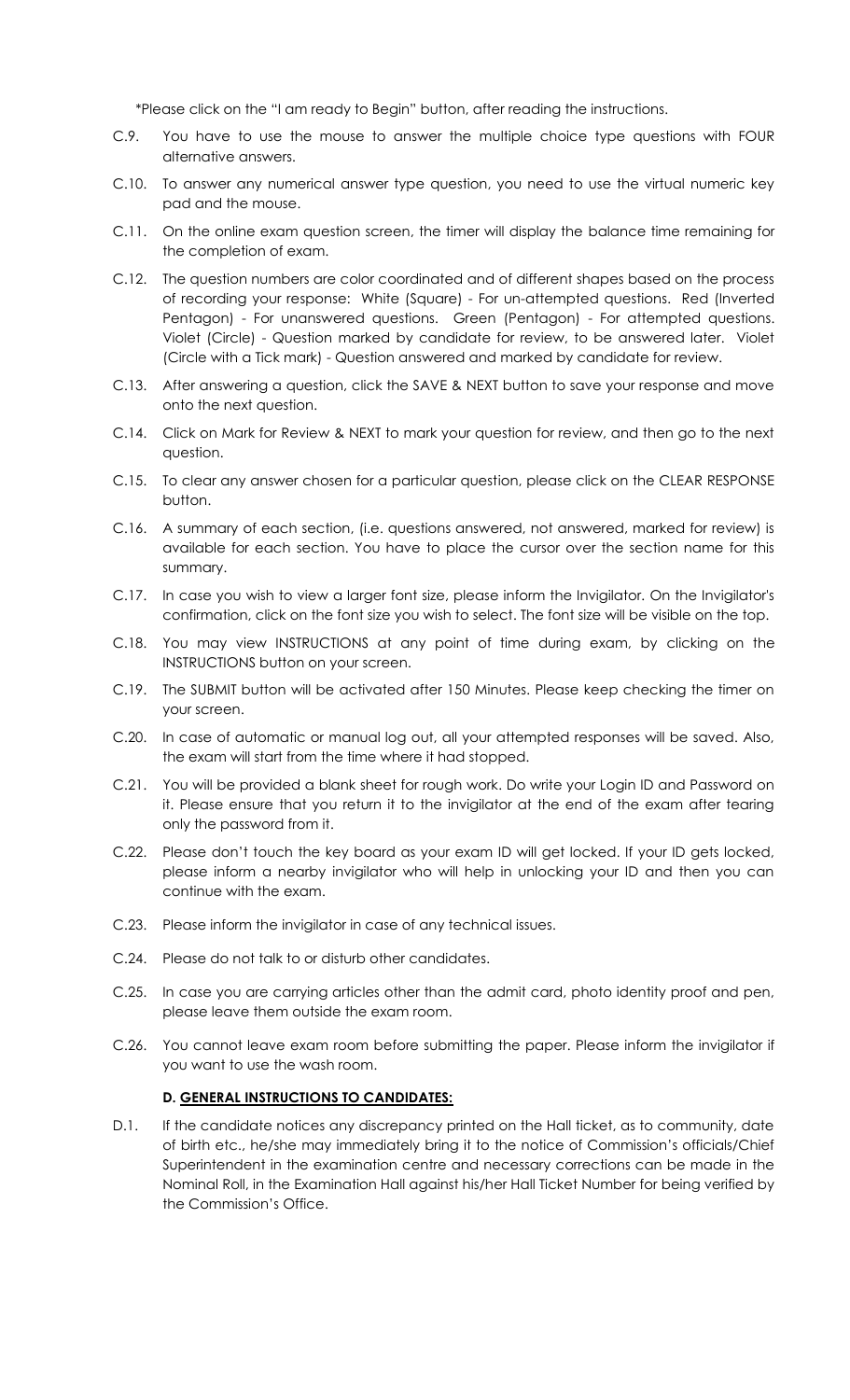\*Please click on the "I am ready to Begin" button, after reading the instructions.

- C.9. You have to use the mouse to answer the multiple choice type questions with FOUR alternative answers.
- C.10. To answer any numerical answer type question, you need to use the virtual numeric key pad and the mouse.
- C.11. On the online exam question screen, the timer will display the balance time remaining for the completion of exam.
- C.12. The question numbers are color coordinated and of different shapes based on the process of recording your response: White (Square) - For un-attempted questions. Red (Inverted Pentagon) - For unanswered questions. Green (Pentagon) - For attempted questions. Violet (Circle) - Question marked by candidate for review, to be answered later. Violet (Circle with a Tick mark) - Question answered and marked by candidate for review.
- C.13. After answering a question, click the SAVE & NEXT button to save your response and move onto the next question.
- C.14. Click on Mark for Review & NEXT to mark your question for review, and then go to the next question.
- C.15. To clear any answer chosen for a particular question, please click on the CLEAR RESPONSE button.
- C.16. A summary of each section, (i.e. questions answered, not answered, marked for review) is available for each section. You have to place the cursor over the section name for this summary.
- C.17. In case you wish to view a larger font size, please inform the Invigilator. On the Invigilator's confirmation, click on the font size you wish to select. The font size will be visible on the top.
- C.18. You may view INSTRUCTIONS at any point of time during exam, by clicking on the INSTRUCTIONS button on your screen.
- C.19. The SUBMIT button will be activated after 150 Minutes. Please keep checking the timer on your screen.
- C.20. In case of automatic or manual log out, all your attempted responses will be saved. Also, the exam will start from the time where it had stopped.
- C.21. You will be provided a blank sheet for rough work. Do write your Login ID and Password on it. Please ensure that you return it to the invigilator at the end of the exam after tearing only the password from it.
- C.22. Please don't touch the key board as your exam ID will get locked. If your ID gets locked, please inform a nearby invigilator who will help in unlocking your ID and then you can continue with the exam.
- C.23. Please inform the invigilator in case of any technical issues.
- C.24. Please do not talk to or disturb other candidates.
- C.25. In case you are carrying articles other than the admit card, photo identity proof and pen, please leave them outside the exam room.
- C.26. You cannot leave exam room before submitting the paper. Please inform the invigilator if you want to use the wash room.

# **D. GENERAL INSTRUCTIONS TO CANDIDATES:**

D.1. If the candidate notices any discrepancy printed on the Hall ticket, as to community, date of birth etc., he/she may immediately bring it to the notice of Commission's officials/Chief Superintendent in the examination centre and necessary corrections can be made in the Nominal Roll, in the Examination Hall against his/her Hall Ticket Number for being verified by the Commission's Office.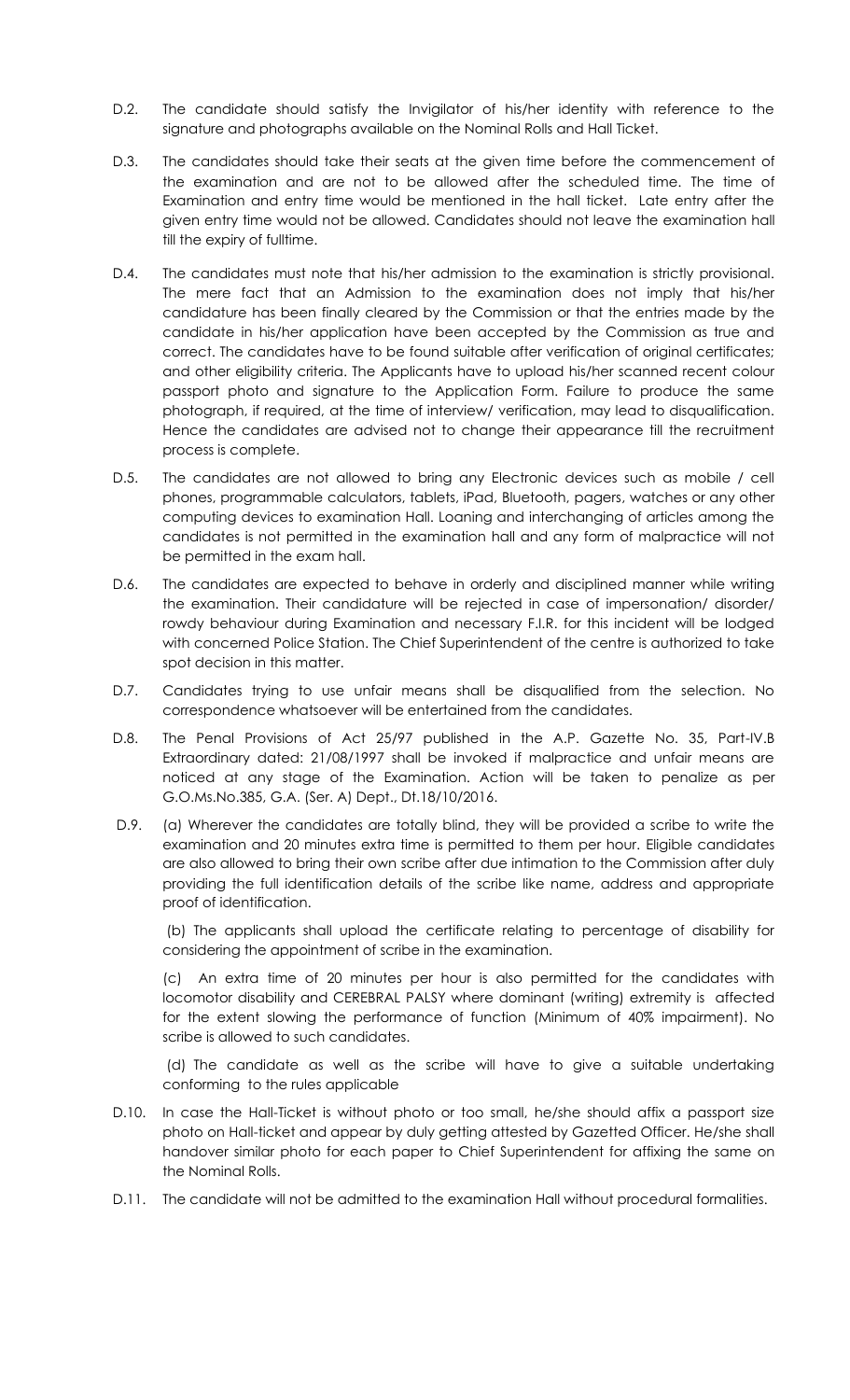- D.2. The candidate should satisfy the Invigilator of his/her identity with reference to the signature and photographs available on the Nominal Rolls and Hall Ticket.
- D.3. The candidates should take their seats at the given time before the commencement of the examination and are not to be allowed after the scheduled time. The time of Examination and entry time would be mentioned in the hall ticket. Late entry after the given entry time would not be allowed. Candidates should not leave the examination hall till the expiry of fulltime.
- D.4. The candidates must note that his/her admission to the examination is strictly provisional. The mere fact that an Admission to the examination does not imply that his/her candidature has been finally cleared by the Commission or that the entries made by the candidate in his/her application have been accepted by the Commission as true and correct. The candidates have to be found suitable after verification of original certificates; and other eligibility criteria. The Applicants have to upload his/her scanned recent colour passport photo and signature to the Application Form. Failure to produce the same photograph, if required, at the time of interview/ verification, may lead to disqualification. Hence the candidates are advised not to change their appearance till the recruitment process is complete.
- D.5. The candidates are not allowed to bring any Electronic devices such as mobile / cell phones, programmable calculators, tablets, iPad, Bluetooth, pagers, watches or any other computing devices to examination Hall. Loaning and interchanging of articles among the candidates is not permitted in the examination hall and any form of malpractice will not be permitted in the exam hall.
- D.6. The candidates are expected to behave in orderly and disciplined manner while writing the examination. Their candidature will be rejected in case of impersonation/ disorder/ rowdy behaviour during Examination and necessary F.I.R. for this incident will be lodged with concerned Police Station. The Chief Superintendent of the centre is authorized to take spot decision in this matter.
- D.7. Candidates trying to use unfair means shall be disqualified from the selection. No correspondence whatsoever will be entertained from the candidates.
- D.8. The Penal Provisions of Act 25/97 published in the A.P. Gazette No. 35, Part-IV.B Extraordinary dated: 21/08/1997 shall be invoked if malpractice and unfair means are noticed at any stage of the Examination. Action will be taken to penalize as per G.O.Ms.No.385, G.A. (Ser. A) Dept., Dt.18/10/2016.
- D.9. (a) Wherever the candidates are totally blind, they will be provided a scribe to write the examination and 20 minutes extra time is permitted to them per hour. Eligible candidates are also allowed to bring their own scribe after due intimation to the Commission after duly providing the full identification details of the scribe like name, address and appropriate proof of identification.

(b) The applicants shall upload the certificate relating to percentage of disability for considering the appointment of scribe in the examination.

(c) An extra time of 20 minutes per hour is also permitted for the candidates with locomotor disability and CEREBRAL PALSY where dominant (writing) extremity is affected for the extent slowing the performance of function (Minimum of 40% impairment). No scribe is allowed to such candidates.

(d) The candidate as well as the scribe will have to give a suitable undertaking conforming to the rules applicable

- D.10. In case the Hall-Ticket is without photo or too small, he/she should affix a passport size photo on Hall-ticket and appear by duly getting attested by Gazetted Officer. He/she shall handover similar photo for each paper to Chief Superintendent for affixing the same on the Nominal Rolls.
- D.11. The candidate will not be admitted to the examination Hall without procedural formalities.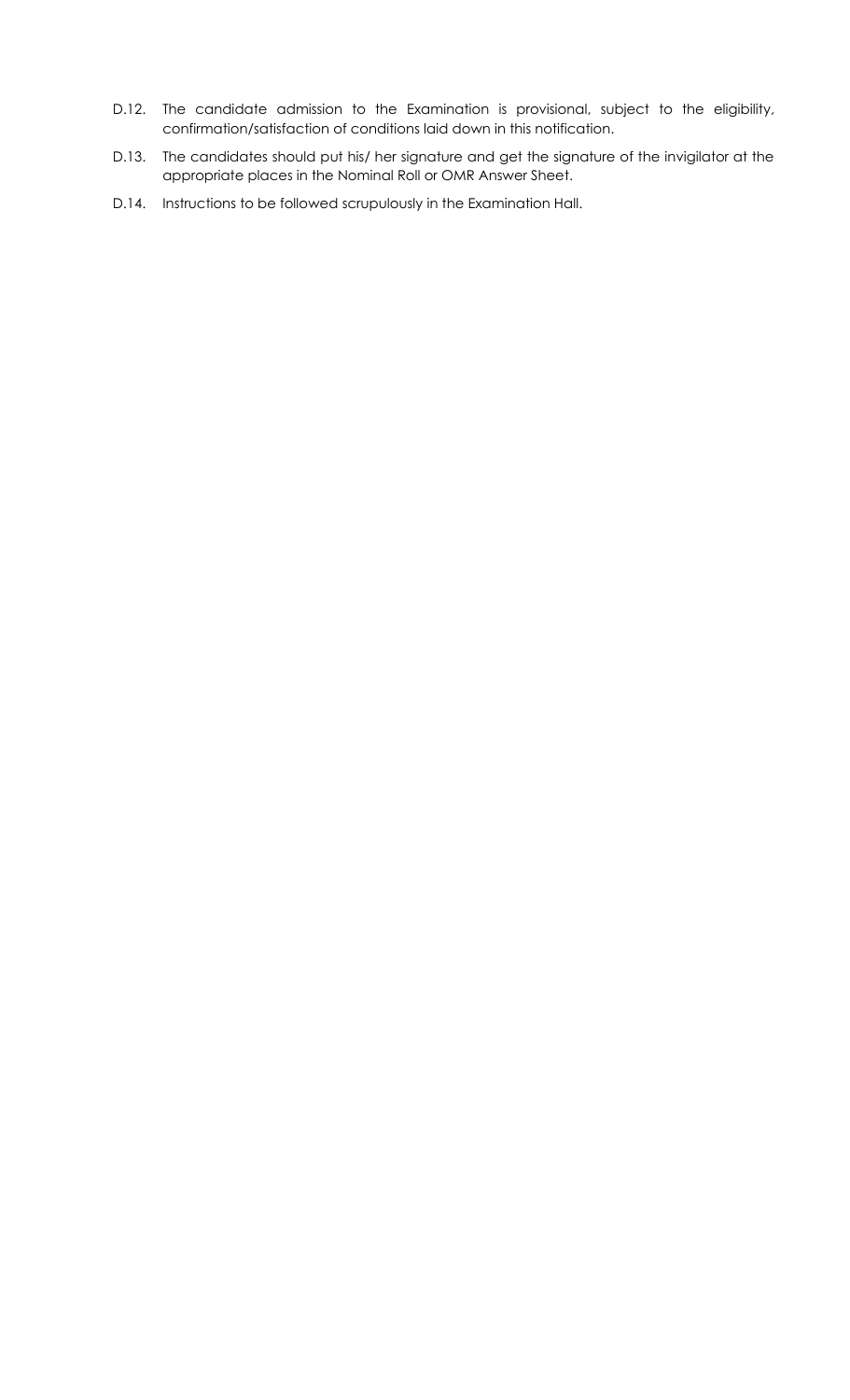- D.12. The candidate admission to the Examination is provisional, subject to the eligibility, confirmation/satisfaction of conditions laid down in this notification.
- D.13. The candidates should put his/ her signature and get the signature of the invigilator at the appropriate places in the Nominal Roll or OMR Answer Sheet.
- D.14. Instructions to be followed scrupulously in the Examination Hall.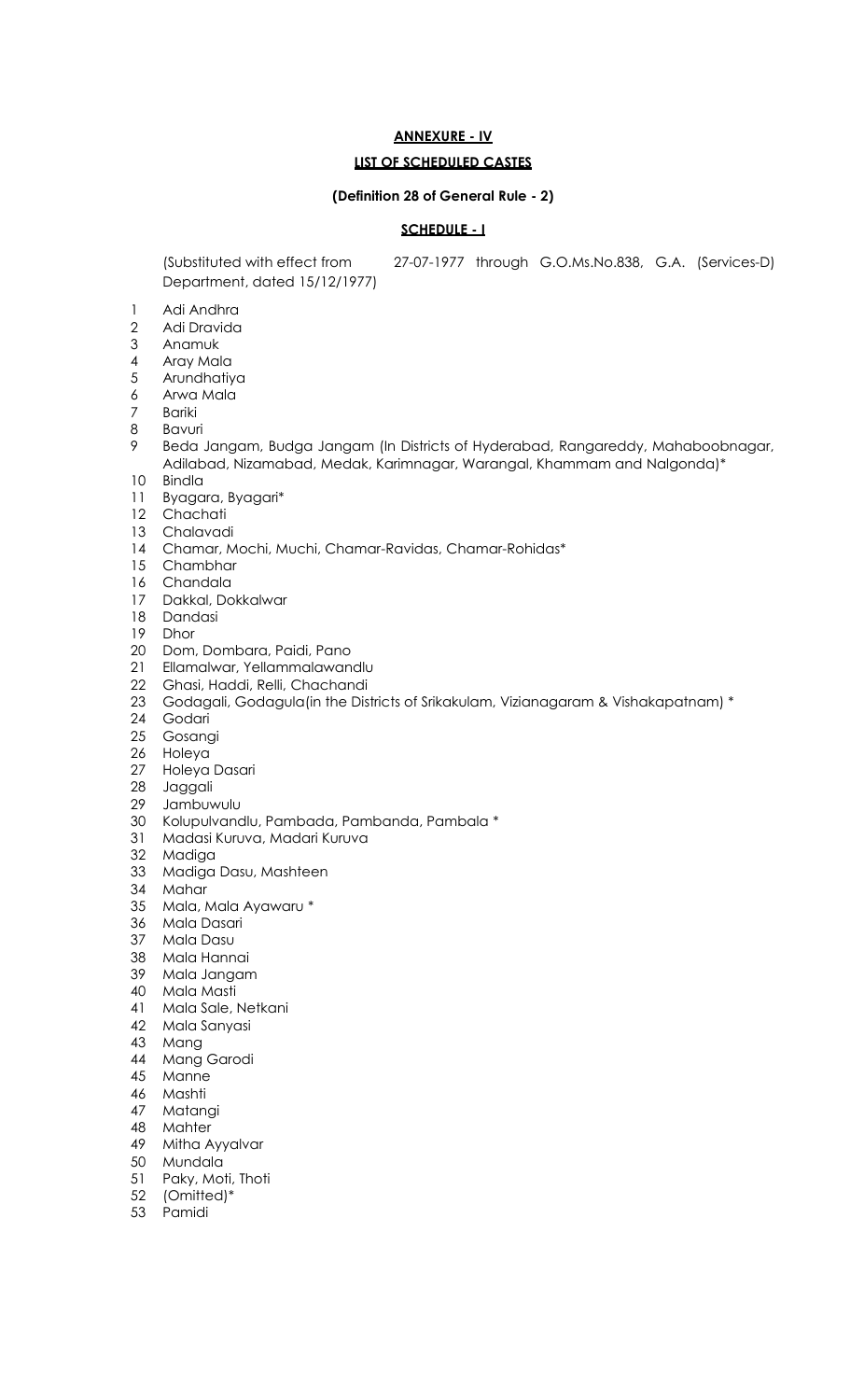# **ANNEXURE - IV**

# **LIST OF SCHEDULED CASTES**

#### **(Definition 28 of General Rule - 2)**

# **SCHEDULE - I**

Department, dated 15/12/1977)

(Substituted with effect from 27-07-1977 through G.O.Ms.No.838, G.A. (Services-D)

- 1 Adi Andhra<br>2 Adi Dravida
- Adi Dravida
- Anamuk
- Aray Mala
- Arundhatiya
- Arwa Mala
- Bariki
- Bavuri
- Beda Jangam, Budga Jangam (In Districts of Hyderabad, Rangareddy, Mahaboobnagar, Adilabad, Nizamabad, Medak, Karimnagar, Warangal, Khammam and Nalgonda)\*
- Bindla
- Byagara, Byagari\*
- Chachati
- Chalavadi
- Chamar, Mochi, Muchi, Chamar-Ravidas, Chamar-Rohidas\*
- Chambhar
- Chandala
- Dakkal, Dokkalwar
- Dandasi
- Dhor
- Dom, Dombara, Paidi, Pano
- Ellamalwar, Yellammalawandlu
- Ghasi, Haddi, Relli, Chachandi
- Godagali, Godagula(in the Districts of Srikakulam, Vizianagaram & Vishakapatnam) \*
- Godari
- Gosangi
- Holeya
- Holeya Dasari
- Jaggali
- Jambuwulu
- Kolupulvandlu, Pambada, Pambanda, Pambala \*
- Madasi Kuruva, Madari Kuruva
- Madiga
- Madiga Dasu, Mashteen
- Mahar
- Mala, Mala Ayawaru \*
- Mala Dasari
- Mala Dasu
- Mala Hannai
- Mala Jangam
- Mala Masti
- Mala Sale, Netkani
- Mala Sanyasi
- Mang
- Mang Garodi
- Manne
- 
- 46 Mashti<br>47 Matan Matangi
- Mahter
- Mitha Ayyalvar
- Mundala
- Paky, Moti, Thoti
- (Omitted)\*
- Pamidi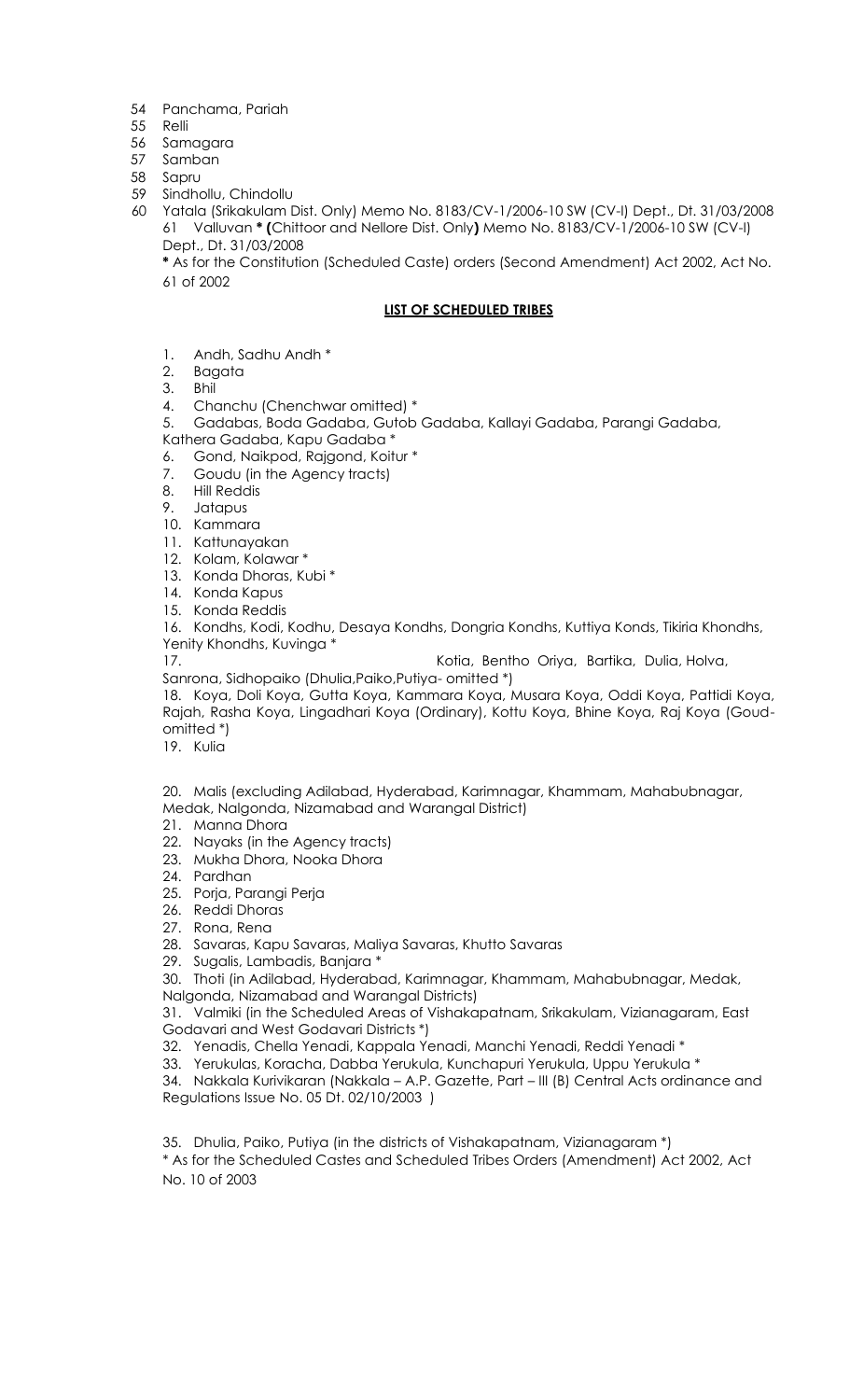- 54 Panchama, Pariah
- 55 Relli
- 56 Samagara
- 57 Samban
- 58 Sapru
- 59 Sindhollu, Chindollu
- 60 Yatala (Srikakulam Dist. Only) Memo No. 8183/CV-1/2006-10 SW (CV-I) Dept., Dt. 31/03/2008 61 Valluvan **\* (**Chittoor and Nellore Dist. Only**)** Memo No. 8183/CV-1/2006-10 SW (CV-I) Dept., Dt. 31/03/2008

**\*** As for the Constitution (Scheduled Caste) orders (Second Amendment) Act 2002, Act No. 61 of 2002

# **LIST OF SCHEDULED TRIBES**

- 1. Andh, Sadhu Andh \*
- 2. Bagata
- 3. Bhil
- 4. Chanchu (Chenchwar omitted) \*
- 5. Gadabas, Boda Gadaba, Gutob Gadaba, Kallayi Gadaba, Parangi Gadaba,
- Kathera Gadaba, Kapu Gadaba \*
- 6. Gond, Naikpod, Rajgond, Koitur \*
- 7. Goudu (in the Agency tracts)
- 8. Hill Reddis
- 9. Jatapus
- 10. Kammara
- 11. Kattunayakan
- 12. Kolam, Kolawar \*
- 13. Konda Dhoras, Kubi \*
- 14. Konda Kapus
- 15. Konda Reddis
- 16. Kondhs, Kodi, Kodhu, Desaya Kondhs, Dongria Kondhs, Kuttiya Konds, Tikiria Khondhs, Yenity Khondhs, Kuvinga \*

17. Kotia, Bentho Oriya, Bartika, Dulia, Holva,

Sanrona, Sidhopaiko (Dhulia,Paiko,Putiya- omitted \*)

18. Koya, Doli Koya, Gutta Koya, Kammara Koya, Musara Koya, Oddi Koya, Pattidi Koya, Rajah, Rasha Koya, Lingadhari Koya (Ordinary), Kottu Koya, Bhine Koya, Raj Koya (Goudomitted \*)

19. Kulia

20. Malis (excluding Adilabad, Hyderabad, Karimnagar, Khammam, Mahabubnagar, Medak, Nalgonda, Nizamabad and Warangal District)

- 21. Manna Dhora
- 22. Nayaks (in the Agency tracts)
- 23. Mukha Dhora, Nooka Dhora
- 24. Pardhan
- 25. Porja, Parangi Perja
- 26. Reddi Dhoras
- 27. Rona, Rena
- 28. Savaras, Kapu Savaras, Maliya Savaras, Khutto Savaras
- 29. Sugalis, Lambadis, Banjara \*
- 30. Thoti (in Adilabad, Hyderabad, Karimnagar, Khammam, Mahabubnagar, Medak,
- Nalgonda, Nizamabad and Warangal Districts)
- 31. Valmiki (in the Scheduled Areas of Vishakapatnam, Srikakulam, Vizianagaram, East Godavari and West Godavari Districts \*)
- 32. Yenadis, Chella Yenadi, Kappala Yenadi, Manchi Yenadi, Reddi Yenadi \*
- 33. Yerukulas, Koracha, Dabba Yerukula, Kunchapuri Yerukula, Uppu Yerukula \*

34. Nakkala Kurivikaran (Nakkala – A.P. Gazette, Part – III (B) Central Acts ordinance and Regulations Issue No. 05 Dt. 02/10/2003 )

35. Dhulia, Paiko, Putiya (in the districts of Vishakapatnam, Vizianagaram \*)

\* As for the Scheduled Castes and Scheduled Tribes Orders (Amendment) Act 2002, Act No. 10 of 2003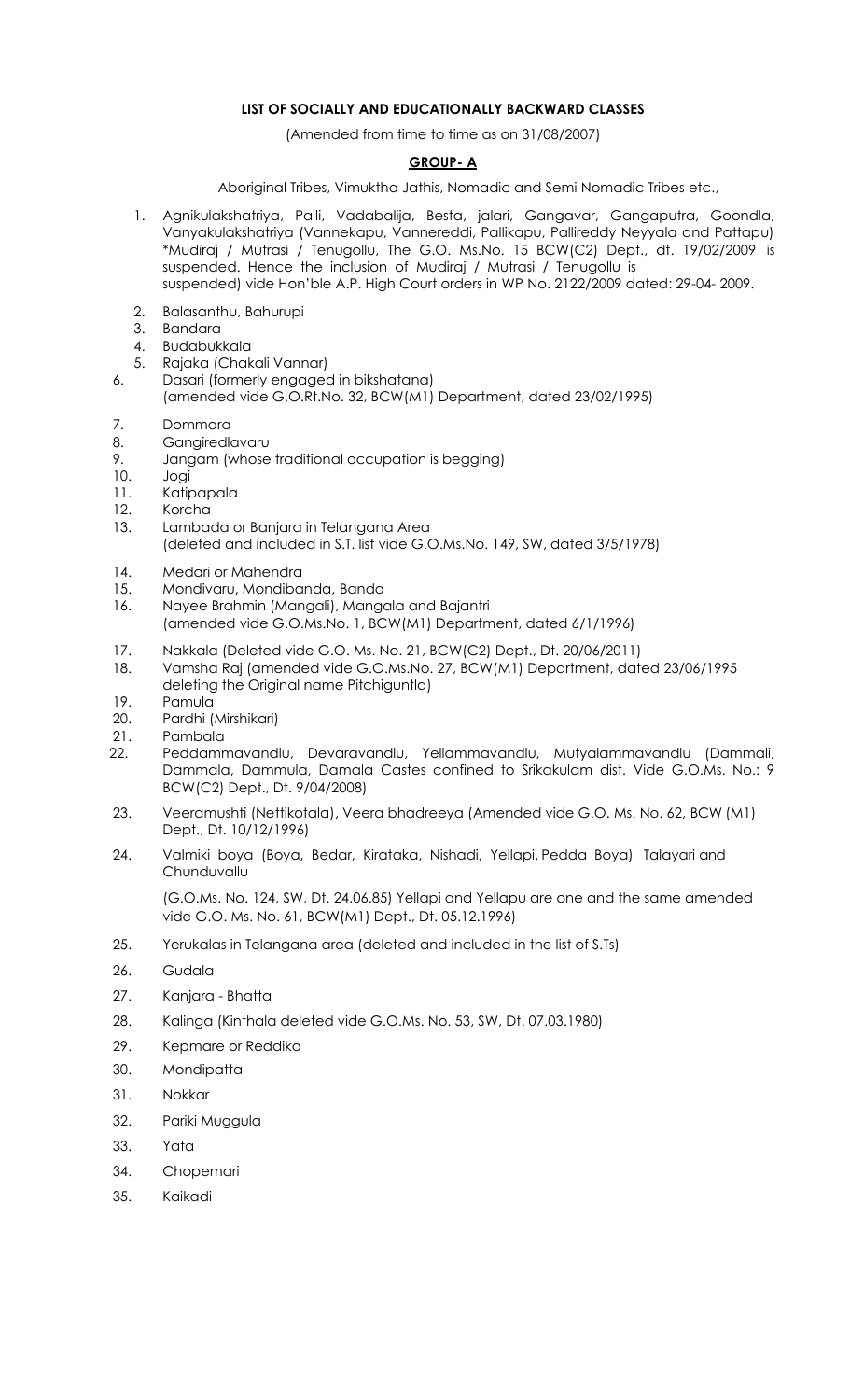# **LIST OF SOCIALLY AND EDUCATIONALLY BACKWARD CLASSES**

(Amended from time to time as on 31/08/2007)

#### **GROUP- A**

Aboriginal Tribes, Vimuktha Jathis, Nomadic and Semi Nomadic Tribes etc.,

- 1. Agnikulakshatriya, Palli, Vadabalija, Besta, jalari, Gangavar, Gangaputra, Goondla, Vanyakulakshatriya (Vannekapu, Vannereddi, Pallikapu, Pallireddy Neyyala and Pattapu) \*Mudiraj / Mutrasi / Tenugollu, The G.O. Ms.No. 15 BCW(C2) Dept., dt. 19/02/2009 is suspended. Hence the inclusion of Mudiraj / Mutrasi / Tenugollu is suspended) vide Hon'ble A.P. High Court orders in WP No. 2122/2009 dated: 29-04- 2009.
- 2. Balasanthu, Bahurupi
- 3. Bandara
- 4. Budabukkala
- 5. Rajaka (Chakali Vannar)
- 6. Dasari (formerly engaged in bikshatana)
	- (amended vide G.O.Rt.No. 32, BCW(M1) Department, dated 23/02/1995)
- 7. Dommara
- 8. Gangiredlavaru
- 9. Jangam (whose traditional occupation is begging)
- 10. Jogi
- 11. Katipapala
- 12. Korcha
- 13. Lambada or Banjara in Telangana Area (deleted and included in S.T. list vide G.O.Ms.No. 149, SW, dated 3/5/1978)
- 14. Medari or Mahendra
- 15. Mondivaru, Mondibanda, Banda
- 16. Nayee Brahmin (Mangali), Mangala and Bajantri
- (amended vide G.O.Ms.No. 1, BCW(M1) Department, dated 6/1/1996)
- 17. Nakkala (Deleted vide G.O. Ms. No. 21, BCW(C2) Dept., Dt. 20/06/2011)
- 18. Vamsha Raj (amended vide G.O.Ms.No. 27, BCW(M1) Department, dated 23/06/1995 deleting the Original name Pitchiguntla)
- 19. Pamula
- 20. Pardhi (Mirshikari)
- 21. Pambala
- 22. Peddammavandlu, Devaravandlu, Yellammavandlu, Mutyalammavandlu (Dammali, Dammala, Dammula, Damala Castes confined to Srikakulam dist. Vide G.O.Ms. No.: 9 BCW(C2) Dept., Dt. 9/04/2008)
- 23. Veeramushti (Nettikotala), Veera bhadreeya (Amended vide G.O. Ms. No. 62, BCW (M1) Dept., Dt. 10/12/1996)
- 24. Valmiki boya (Boya, Bedar, Kirataka, Nishadi, Yellapi, Pedda Boya) Talayari and Chunduvallu

(G.O.Ms. No. 124, SW, Dt. 24.06.85) Yellapi and Yellapu are one and the same amended vide G.O. Ms. No. 61, BCW(M1) Dept., Dt. 05.12.1996)

- 25. Yerukalas in Telangana area (deleted and included in the list of S.Ts)
- 26. Gudala
- 27. Kanjara Bhatta
- 28. Kalinga (Kinthala deleted vide G.O.Ms. No. 53, SW, Dt. 07.03.1980)
- 29. Kepmare or Reddika
- 30. Mondipatta
- 31. Nokkar
- 32. Pariki Muggula
- 33. Yata
- 34. Chopemari
- 35. Kaikadi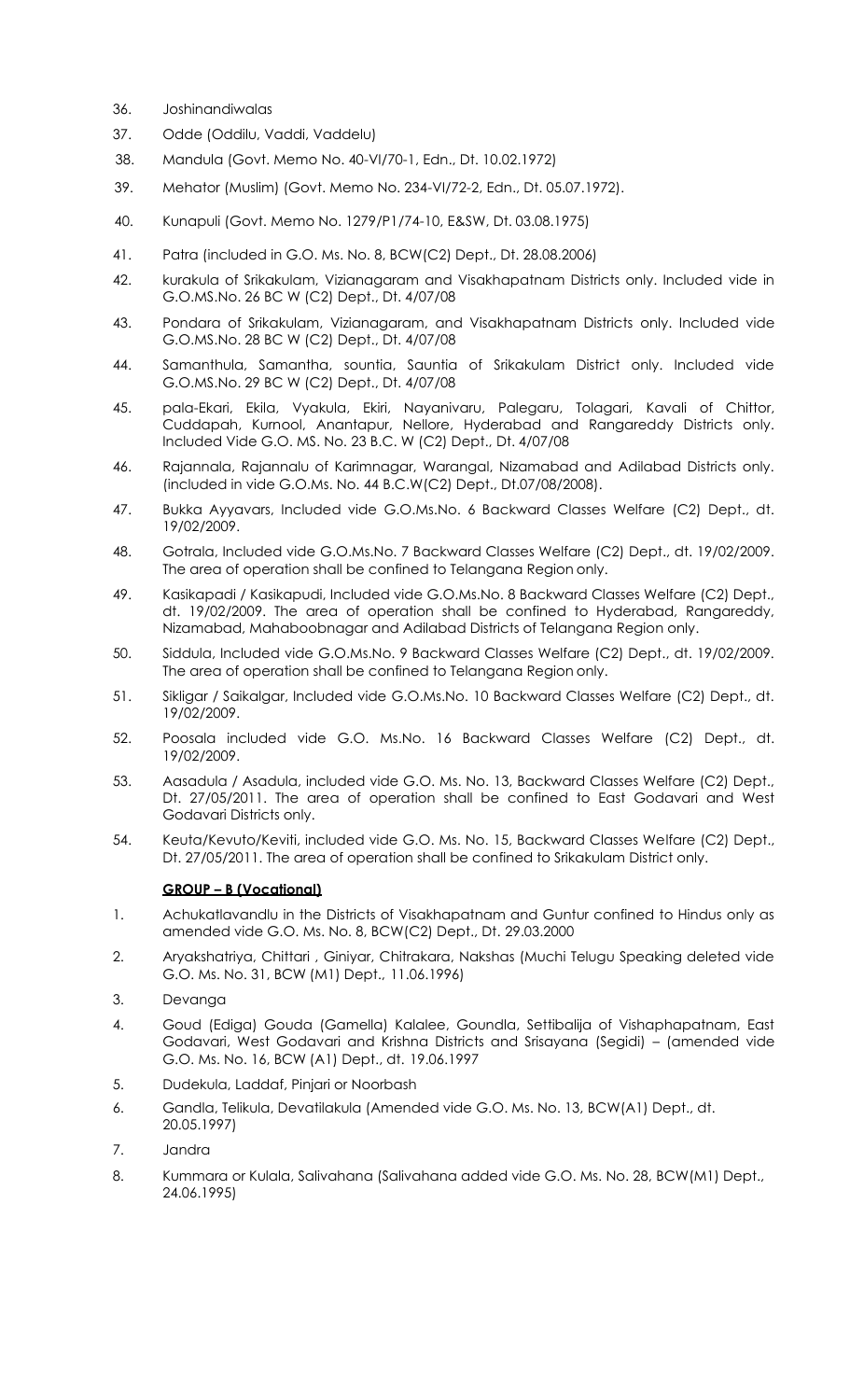- 36. Joshinandiwalas
- 37. Odde (Oddilu, Vaddi, Vaddelu)
- 38. Mandula (Govt. Memo No. 40-VI/70-1, Edn., Dt. 10.02.1972)
- 39. Mehator (Muslim) (Govt. Memo No. 234-VI/72-2, Edn., Dt. 05.07.1972).
- 40. Kunapuli (Govt. Memo No. 1279/P1/74-10, E&SW, Dt. 03.08.1975)
- 41. Patra (included in G.O. Ms. No. 8, BCW(C2) Dept., Dt. 28.08.2006)
- 42. kurakula of Srikakulam, Vizianagaram and Visakhapatnam Districts only. Included vide in G.O.MS.No. 26 BC W (C2) Dept., Dt. 4/07/08
- 43. Pondara of Srikakulam, Vizianagaram, and Visakhapatnam Districts only. Included vide G.O.MS.No. 28 BC W (C2) Dept., Dt. 4/07/08
- 44. Samanthula, Samantha, sountia, Sauntia of Srikakulam District only. Included vide G.O.MS.No. 29 BC W (C2) Dept., Dt. 4/07/08
- 45. pala-Ekari, Ekila, Vyakula, Ekiri, Nayanivaru, Palegaru, Tolagari, Kavali of Chittor, Cuddapah, Kurnool, Anantapur, Nellore, Hyderabad and Rangareddy Districts only. Included Vide G.O. MS. No. 23 B.C. W (C2) Dept., Dt. 4/07/08
- 46. Rajannala, Rajannalu of Karimnagar, Warangal, Nizamabad and Adilabad Districts only. (included in vide G.O.Ms. No. 44 B.C.W(C2) Dept., Dt.07/08/2008).
- 47. Bukka Ayyavars, Included vide G.O.Ms.No. 6 Backward Classes Welfare (C2) Dept., dt. 19/02/2009.
- 48. Gotrala, Included vide G.O.Ms.No. 7 Backward Classes Welfare (C2) Dept., dt. 19/02/2009. The area of operation shall be confined to Telangana Region only.
- 49. Kasikapadi / Kasikapudi, Included vide G.O.Ms.No. 8 Backward Classes Welfare (C2) Dept., dt. 19/02/2009. The area of operation shall be confined to Hyderabad, Rangareddy, Nizamabad, Mahaboobnagar and Adilabad Districts of Telangana Region only.
- 50. Siddula, Included vide G.O.Ms.No. 9 Backward Classes Welfare (C2) Dept., dt. 19/02/2009. The area of operation shall be confined to Telangana Region only.
- 51. Sikligar / Saikalgar, Included vide G.O.Ms.No. 10 Backward Classes Welfare (C2) Dept., dt. 19/02/2009.
- 52. Poosala included vide G.O. Ms.No. 16 Backward Classes Welfare (C2) Dept., dt. 19/02/2009.
- 53. Aasadula / Asadula, included vide G.O. Ms. No. 13, Backward Classes Welfare (C2) Dept., Dt. 27/05/2011. The area of operation shall be confined to East Godavari and West Godavari Districts only.
- 54. Keuta/Kevuto/Keviti, included vide G.O. Ms. No. 15, Backward Classes Welfare (C2) Dept., Dt. 27/05/2011. The area of operation shall be confined to Srikakulam District only.

#### **GROUP – B (Vocational)**

- 1. Achukatlavandlu in the Districts of Visakhapatnam and Guntur confined to Hindus only as amended vide G.O. Ms. No. 8, BCW(C2) Dept., Dt. 29.03.2000
- 2. Aryakshatriya, Chittari , Giniyar, Chitrakara, Nakshas (Muchi Telugu Speaking deleted vide G.O. Ms. No. 31, BCW (M1) Dept., 11.06.1996)
- 3. Devanga
- 4. Goud (Ediga) Gouda (Gamella) Kalalee, Goundla, Settibalija of Vishaphapatnam, East Godavari, West Godavari and Krishna Districts and Srisayana (Segidi) – (amended vide G.O. Ms. No. 16, BCW (A1) Dept., dt. 19.06.1997
- 5. Dudekula, Laddaf, Pinjari or Noorbash
- 6. Gandla, Telikula, Devatilakula (Amended vide G.O. Ms. No. 13, BCW(A1) Dept., dt. 20.05.1997)
- 7. Jandra
- 8. Kummara or Kulala, Salivahana (Salivahana added vide G.O. Ms. No. 28, BCW(M1) Dept., 24.06.1995)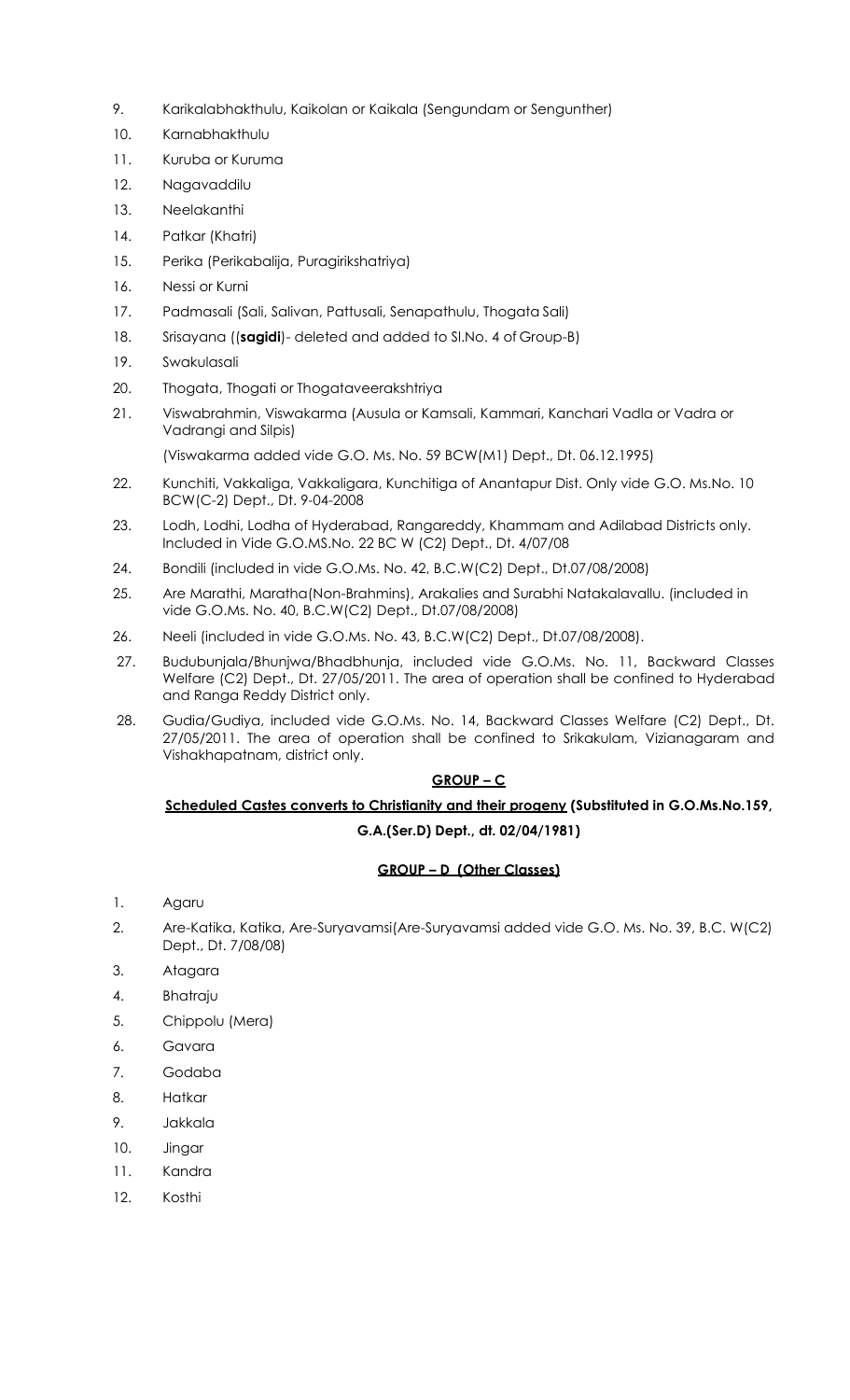- 9. Karikalabhakthulu, Kaikolan or Kaikala (Sengundam or Sengunther)
- 10. Karnabhakthulu
- 11. Kuruba or Kuruma
- 12. Nagavaddilu
- 13. Neelakanthi
- 14. Patkar (Khatri)
- 15. Perika (Perikabalija, Puragirikshatriya)
- 16. Nessi or Kurni
- 17. Padmasali (Sali, Salivan, Pattusali, Senapathulu, Thogata Sali)
- 18. Srisayana ((**sagidi**)- deleted and added to Sl.No. 4 of Group-B)
- 19. Swakulasali
- 20. Thogata, Thogati or Thogataveerakshtriya
- 21. Viswabrahmin, Viswakarma (Ausula or Kamsali, Kammari, Kanchari Vadla or Vadra or Vadrangi and Silpis)

(Viswakarma added vide G.O. Ms. No. 59 BCW(M1) Dept., Dt. 06.12.1995)

- 22. Kunchiti, Vakkaliga, Vakkaligara, Kunchitiga of Anantapur Dist. Only vide G.O. Ms.No. 10 BCW(C-2) Dept., Dt. 9-04-2008
- 23. Lodh, Lodhi, Lodha of Hyderabad, Rangareddy, Khammam and Adilabad Districts only. Included in Vide G.O.MS.No. 22 BC W (C2) Dept., Dt. 4/07/08
- 24. Bondili (included in vide G.O.Ms. No. 42, B.C.W(C2) Dept., Dt.07/08/2008)
- 25. Are Marathi, Maratha(Non-Brahmins), Arakalies and Surabhi Natakalavallu. (included in vide G.O.Ms. No. 40, B.C.W(C2) Dept., Dt.07/08/2008)
- 26. Neeli (included in vide G.O.Ms. No. 43, B.C.W(C2) Dept., Dt.07/08/2008).
- 27. Budubunjala/Bhunjwa/Bhadbhunja, included vide G.O.Ms. No. 11, Backward Classes Welfare (C2) Dept., Dt. 27/05/2011. The area of operation shall be confined to Hyderabad and Ranga Reddy District only.
- 28. Gudia/Gudiya, included vide G.O.Ms. No. 14, Backward Classes Welfare (C2) Dept., Dt. 27/05/2011. The area of operation shall be confined to Srikakulam, Vizianagaram and Vishakhapatnam, district only.

# **GROUP – C**

# **Scheduled Castes converts to Christianity and their progeny (Substituted in G.O.Ms.No.159, G.A.(Ser.D) Dept., dt. 02/04/1981)**

# **GROUP – D (Other Classes)**

- 1. Agaru
- 2. Are-Katika, Katika, Are-Suryavamsi(Are-Suryavamsi added vide G.O. Ms. No. 39, B.C. W(C2) Dept., Dt. 7/08/08)
- 3. Atagara
- 4. Bhatraju
- 5. Chippolu (Mera)
- 6. Gavara
- 7. Godaba
- 8. Hatkar
- 9. Jakkala
- 10. Jingar
- 11. Kandra
- 12. Kosthi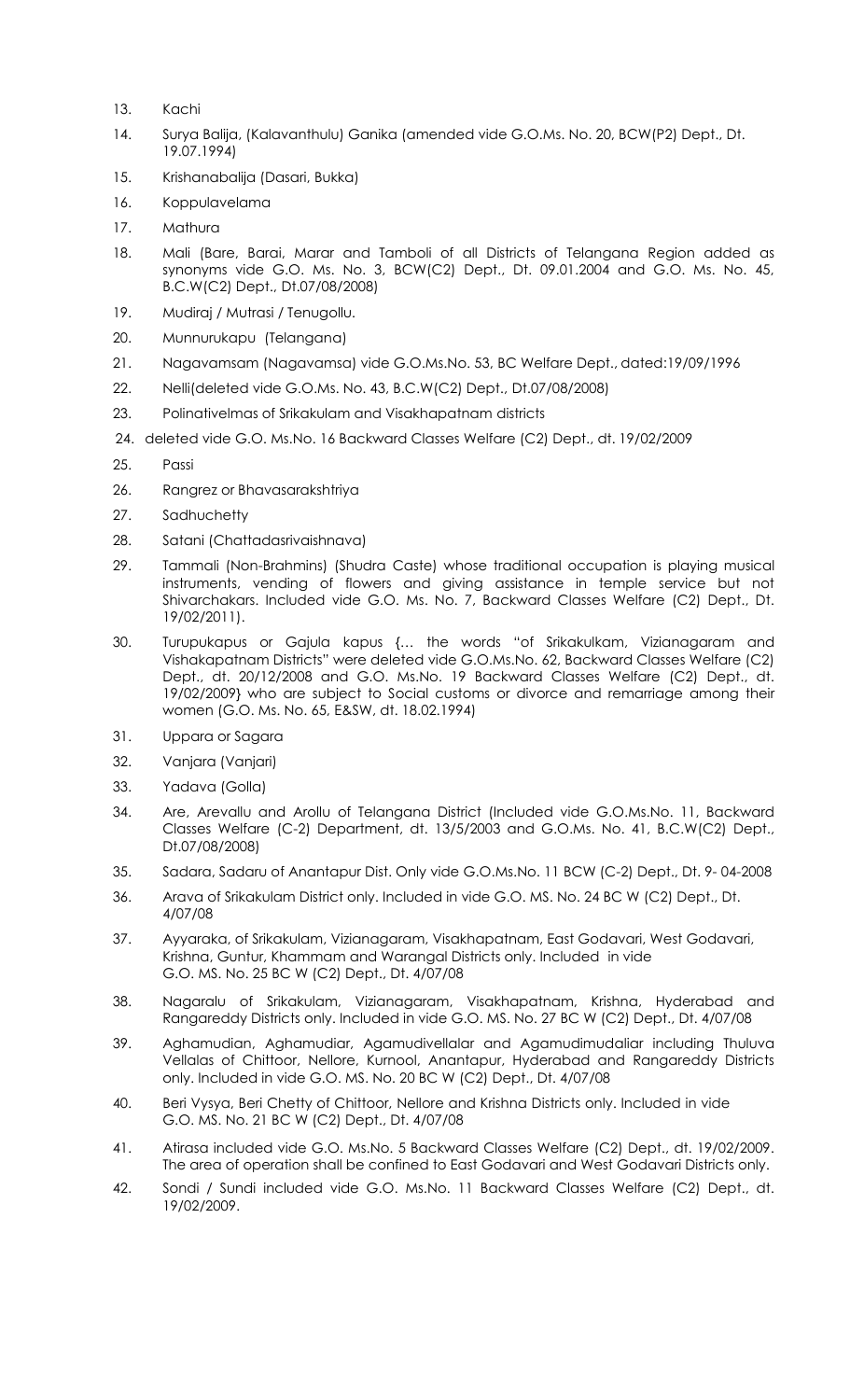- 13. Kachi
- 14. Surya Balija, (Kalavanthulu) Ganika (amended vide G.O.Ms. No. 20, BCW(P2) Dept., Dt. 19.07.1994)
- 15. Krishanabalija (Dasari, Bukka)
- 16. Koppulavelama
- 17. Mathura
- 18. Mali (Bare, Barai, Marar and Tamboli of all Districts of Telangana Region added as synonyms vide G.O. Ms. No. 3, BCW(C2) Dept., Dt. 09.01.2004 and G.O. Ms. No. 45, B.C.W(C2) Dept., Dt.07/08/2008)
- 19. Mudiraj / Mutrasi / Tenugollu.
- 20. Munnurukapu (Telangana)
- 21. Nagavamsam (Nagavamsa) vide G.O.Ms.No. 53, BC Welfare Dept., dated:19/09/1996
- 22. Nelli(deleted vide G.O.Ms. No. 43, B.C.W(C2) Dept., Dt.07/08/2008)
- 23. Polinativelmas of Srikakulam and Visakhapatnam districts
- 24. deleted vide G.O. Ms.No. 16 Backward Classes Welfare (C2) Dept., dt. 19/02/2009
- 25. Passi
- 26. Rangrez or Bhavasarakshtriya
- 27. Sadhuchetty
- 28. Satani (Chattadasrivaishnava)
- 29. Tammali (Non-Brahmins) (Shudra Caste) whose traditional occupation is playing musical instruments, vending of flowers and giving assistance in temple service but not Shivarchakars. Included vide G.O. Ms. No. 7, Backward Classes Welfare (C2) Dept., Dt. 19/02/2011).
- 30. Turupukapus or Gajula kapus {… the words "of Srikakulkam, Vizianagaram and Vishakapatnam Districts" were deleted vide G.O.Ms.No. 62, Backward Classes Welfare (C2) Dept., dt. 20/12/2008 and G.O. Ms.No. 19 Backward Classes Welfare (C2) Dept., dt. 19/02/2009} who are subject to Social customs or divorce and remarriage among their women (G.O. Ms. No. 65, E&SW, dt. 18.02.1994)
- 31. Uppara or Sagara
- 32. Vanjara (Vanjari)
- 33. Yadava (Golla)
- 34. Are, Arevallu and Arollu of Telangana District (Included vide G.O.Ms.No. 11, Backward Classes Welfare (C-2) Department, dt. 13/5/2003 and G.O.Ms. No. 41, B.C.W(C2) Dept., Dt.07/08/2008)
- 35. Sadara, Sadaru of Anantapur Dist. Only vide G.O.Ms.No. 11 BCW (C-2) Dept., Dt. 9- 04-2008
- 36. Arava of Srikakulam District only. Included in vide G.O. MS. No. 24 BC W (C2) Dept., Dt. 4/07/08
- 37. Ayyaraka, of Srikakulam, Vizianagaram, Visakhapatnam, East Godavari, West Godavari, Krishna, Guntur, Khammam and Warangal Districts only. Included in vide G.O. MS. No. 25 BC W (C2) Dept., Dt. 4/07/08
- 38. Nagaralu of Srikakulam, Vizianagaram, Visakhapatnam, Krishna, Hyderabad and Rangareddy Districts only. Included in vide G.O. MS. No. 27 BC W (C2) Dept., Dt. 4/07/08
- 39. Aghamudian, Aghamudiar, Agamudivellalar and Agamudimudaliar including Thuluva Vellalas of Chittoor, Nellore, Kurnool, Anantapur, Hyderabad and Rangareddy Districts only. Included in vide G.O. MS. No. 20 BC W (C2) Dept., Dt. 4/07/08
- 40. Beri Vysya, Beri Chetty of Chittoor, Nellore and Krishna Districts only. Included in vide G.O. MS. No. 21 BC W (C2) Dept., Dt. 4/07/08
- 41. Atirasa included vide G.O. Ms.No. 5 Backward Classes Welfare (C2) Dept., dt. 19/02/2009. The area of operation shall be confined to East Godavari and West Godavari Districts only.
- 42. Sondi / Sundi included vide G.O. Ms.No. 11 Backward Classes Welfare (C2) Dept., dt. 19/02/2009.